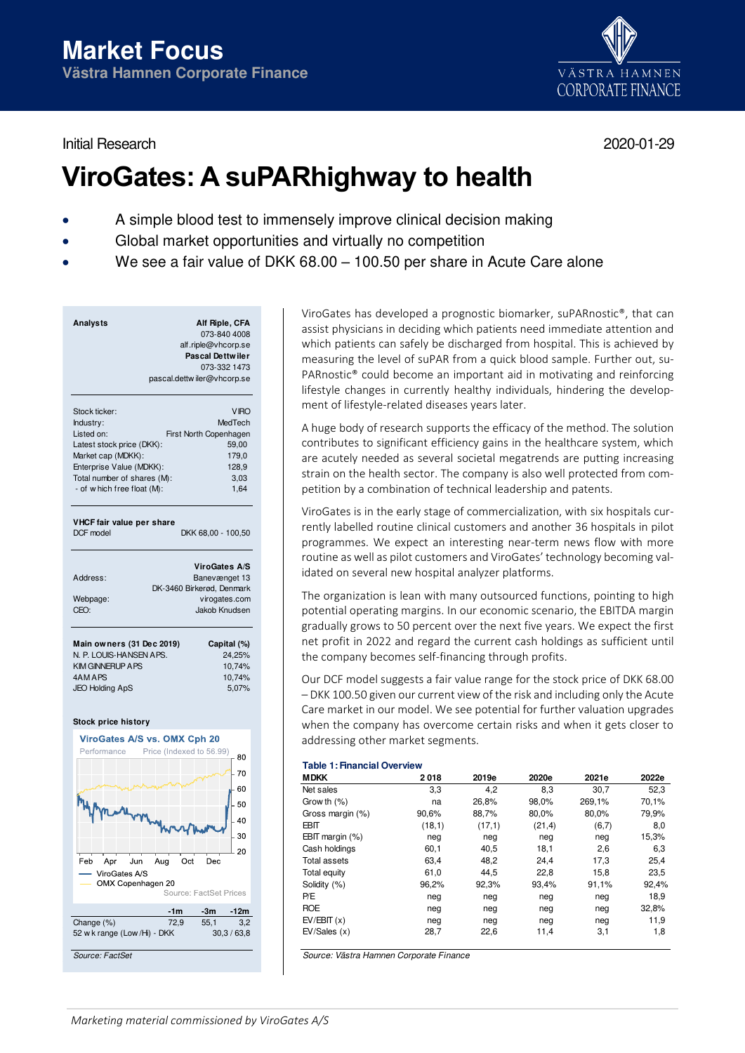Initial Research 2020-01-29



# **ViroGates: A suPARhighway to health**

- A simple blood test to immensely improve clinical decision making
- Global market opportunities and virtually no competition
- We see a fair value of DKK 68.00 100.50 per share in Acute Care alone

| <b>Analysts</b>                                      | Alf Riple, CFA<br>073-840 4008<br>alf.riple@vhcorp.se<br><b>Pascal Dettwiler</b><br>073-332 1473<br>pascal.dettwiler@vhcorp.se |
|------------------------------------------------------|--------------------------------------------------------------------------------------------------------------------------------|
| Stock ticker:                                        | <b>VIRO</b>                                                                                                                    |
| Industry:                                            | MedTech                                                                                                                        |
| Listed on:                                           | First North Copenhagen                                                                                                         |
| Latest stock price (DKK):                            | 59,00                                                                                                                          |
| Market cap (MDKK):                                   | 179,0                                                                                                                          |
| Enterprise Value (MDKK):                             | 128,9                                                                                                                          |
| Total number of shares (M):                          | 3,03                                                                                                                           |
| - of w hich free float (M):                          | 1,64                                                                                                                           |
| VHCF fair value per share<br>DCF model               | DKK 68,00 - 100,50                                                                                                             |
|                                                      | <b>ViroGates A/S</b>                                                                                                           |
| Address:                                             | Banevænget 13                                                                                                                  |
|                                                      | DK-3460 Birkerød, Denmark                                                                                                      |
| Webpage:                                             | virogates.com                                                                                                                  |
| CEO:                                                 | Jakob Knudsen                                                                                                                  |
| Main owners (31 Dec 2019)<br>N. P. LOUIS-HANSEN APS. | Capital (%)<br>24,25%                                                                                                          |
| <b>KIM GINNERUP A PS</b>                             | 10,74%                                                                                                                         |
| 4AM APS                                              | 10.74%                                                                                                                         |
| <b>JEO Holding ApS</b>                               | 5.07%                                                                                                                          |

#### **Stock price history**



ViroGates has developed a prognostic biomarker, suPARnostic®, that can assist physicians in deciding which patients need immediate attention and which patients can safely be discharged from hospital. This is achieved by measuring the level of suPAR from a quick blood sample. Further out, su-PARnostic® could become an important aid in motivating and reinforcing lifestyle changes in currently healthy individuals, hindering the development of lifestyle-related diseases years later.

A huge body of research supports the efficacy of the method. The solution contributes to significant efficiency gains in the healthcare system, which are acutely needed as several societal megatrends are putting increasing strain on the health sector. The company is also well protected from competition by a combination of technical leadership and patents.

ViroGates is in the early stage of commercialization, with six hospitals currently labelled routine clinical customers and another 36 hospitals in pilot programmes. We expect an interesting near-term news flow with more routine as well as pilot customers and ViroGates' technology becoming validated on several new hospital analyzer platforms.

The organization is lean with many outsourced functions, pointing to high potential operating margins. In our economic scenario, the EBITDA margin gradually grows to 50 percent over the next five years. We expect the first net profit in 2022 and regard the current cash holdings as sufficient until the company becomes self-financing through profits.

Our DCF model suggests a fair value range for the stock price of DKK 68.00 – DKK 100.50 given our current view of the risk and including only the Acute Care market in our model. We see potential for further valuation upgrades when the company has overcome certain risks and when it gets closer to addressing other market segments.

#### **Table 1: Financial Overview**

| <b>MDKK</b>         | 2018   | 2019e  | 2020e   | 2021e  | 2022e |
|---------------------|--------|--------|---------|--------|-------|
| Net sales           | 3,3    | 4,2    | 8,3     | 30,7   | 52,3  |
| Grow th $(%)$       | na     | 26,8%  | 98,0%   | 269,1% | 70,1% |
| Gross margin (%)    | 90,6%  | 88,7%  | 80,0%   | 80,0%  | 79,9% |
| EBIT                | (18,1) | (17,1) | (21, 4) | (6,7)  | 8,0   |
| EBIT margin $(\%)$  | neg    | neg    | neg     | neg    | 15,3% |
| Cash holdings       | 60,1   | 40,5   | 18,1    | 2,6    | 6,3   |
| <b>Total assets</b> | 63,4   | 48.2   | 24.4    | 17,3   | 25,4  |
| Total equity        | 61,0   | 44,5   | 22,8    | 15,8   | 23,5  |
| Solidity (%)        | 96,2%  | 92,3%  | 93,4%   | 91,1%  | 92,4% |
| P/E                 | neg    | neg    | neg     | neg    | 18,9  |
| <b>ROE</b>          | neg    | neg    | neg     | neg    | 32,8% |
| EV/EBIT(x)          | neg    | neg    | neg     | neg    | 11,9  |
| EV/Sales(x)         | 28,7   | 22,6   | 11,4    | 3,1    | 1,8   |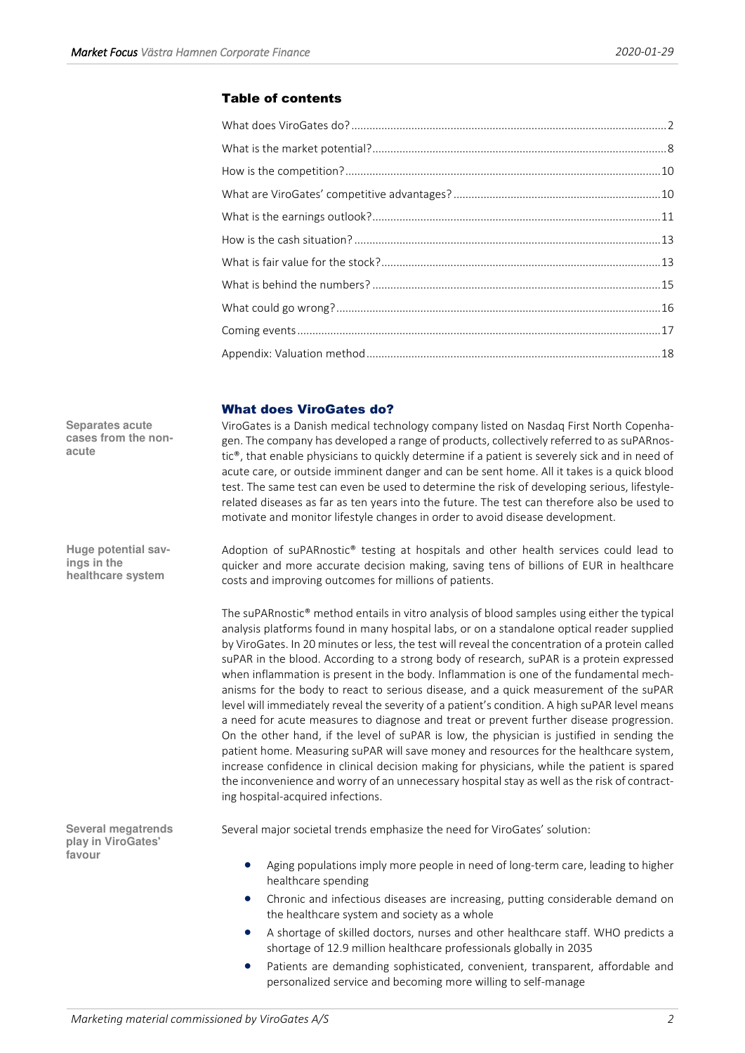# Table of contents

# <span id="page-1-0"></span>What does ViroGates do?

ViroGates is a Danish medical technology company listed on Nasdaq First North Copenhagen. The company has developed a range of products, collectively referred to as suPARnostic®, that enable physicians to quickly determine if a patient is severely sick and in need of acute care, or outside imminent danger and can be sent home. All it takes is a quick blood test. The same test can even be used to determine the risk of developing serious, lifestylerelated diseases as far as ten years into the future. The test can therefore also be used to motivate and monitor lifestyle changes in order to avoid disease development.

Adoption of suPARnostic® testing at hospitals and other health services could lead to quicker and more accurate decision making, saving tens of billions of EUR in healthcare costs and improving outcomes for millions of patients.

The suPARnostic® method entails in vitro analysis of blood samples using either the typical analysis platforms found in many hospital labs, or on a standalone optical reader supplied by ViroGates. In 20 minutes or less, the test will reveal the concentration of a protein called suPAR in the blood. According to a strong body of research, suPAR is a protein expressed when inflammation is present in the body. Inflammation is one of the fundamental mechanisms for the body to react to serious disease, and a quick measurement of the suPAR level will immediately reveal the severity of a patient's condition. A high suPAR level means a need for acute measures to diagnose and treat or prevent further disease progression. On the other hand, if the level of suPAR is low, the physician is justified in sending the patient home. Measuring suPAR will save money and resources for the healthcare system, increase confidence in clinical decision making for physicians, while the patient is spared the inconvenience and worry of an unnecessary hospital stay as well as the risk of contracting hospital-acquired infections.

Several major societal trends emphasize the need for ViroGates' solution:

- Aging populations imply more people in need of long-term care, leading to higher healthcare spending
- Chronic and infectious diseases are increasing, putting considerable demand on the healthcare system and society as a whole
- A shortage of skilled doctors, nurses and other healthcare staff. WHO predicts a shortage of 12.9 million healthcare professionals globally in 2035
- Patients are demanding sophisticated, convenient, transparent, affordable and personalized service and becoming more willing to self-manage

**Separates acute cases from the nonacute** 

**Huge potential savings in the healthcare system** 

**Several megatrends play in ViroGates' favour**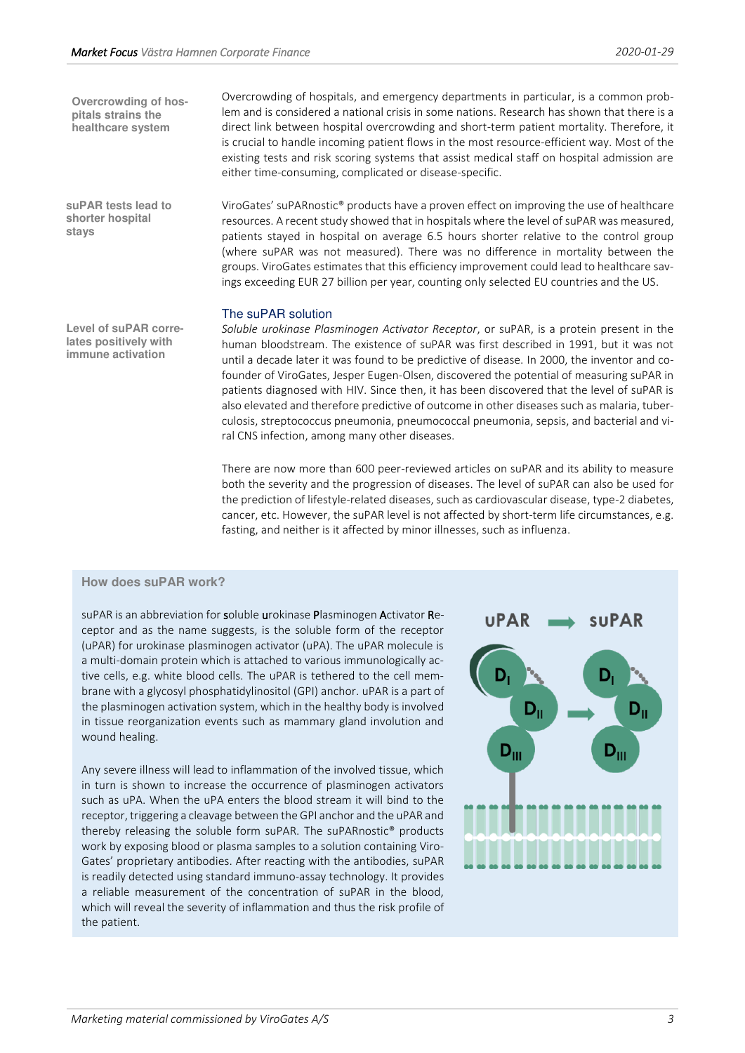**Overcrowding of hospitals strains the healthcare system** 

**suPAR tests lead to shorter hospital stays** 

**Level of suPAR correlates positively with immune activation** 

Overcrowding of hospitals, and emergency departments in particular, is a common problem and is considered a national crisis in some nations. Research has shown that there is a direct link between hospital overcrowding and short-term patient mortality. Therefore, it is crucial to handle incoming patient flows in the most resource-efficient way. Most of the existing tests and risk scoring systems that assist medical staff on hospital admission are either time-consuming, complicated or disease-specific.

ViroGates' suPARnostic® products have a proven effect on improving the use of healthcare resources. A recent study showed that in hospitals where the level of suPAR was measured, patients stayed in hospital on average 6.5 hours shorter relative to the control group (where suPAR was not measured). There was no difference in mortality between the groups. ViroGates estimates that this efficiency improvement could lead to healthcare savings exceeding EUR 27 billion per year, counting only selected EU countries and the US.

## The suPAR solution

*Soluble urokinase Plasminogen Activator Receptor*, or suPAR, is a protein present in the human bloodstream. The existence of suPAR was first described in 1991, but it was not until a decade later it was found to be predictive of disease. In 2000, the inventor and cofounder of ViroGates, Jesper Eugen-Olsen, discovered the potential of measuring suPAR in patients diagnosed with HIV. Since then, it has been discovered that the level of suPAR is also elevated and therefore predictive of outcome in other diseases such as malaria, tuberculosis, streptococcus pneumonia, pneumococcal pneumonia, sepsis, and bacterial and viral CNS infection, among many other diseases.

There are now more than 600 peer-reviewed articles on suPAR and its ability to measure both the severity and the progression of diseases. The level of suPAR can also be used for the prediction of lifestyle-related diseases, such as cardiovascular disease, type-2 diabetes, cancer, etc. However, the suPAR level is not affected by short-term life circumstances, e.g. fasting, and neither is it affected by minor illnesses, such as influenza.

## **How does suPAR work?**

suPAR is an abbreviation for soluble urokinase Plasminogen Activator Receptor and as the name suggests, is the soluble form of the receptor (uPAR) for urokinase plasminogen activator (uPA). The uPAR molecule is a multi-domain protein which is attached to various immunologically active cells, e.g. white blood cells. The uPAR is tethered to the cell membrane with a glycosyl phosphatidylinositol (GPI) anchor. uPAR is a part of the plasminogen activation system, which in the healthy body is involved in tissue reorganization events such as mammary gland involution and wound healing.

Any severe illness will lead to inflammation of the involved tissue, which in turn is shown to increase the occurrence of plasminogen activators such as uPA. When the uPA enters the blood stream it will bind to the receptor, triggering a cleavage between the GPI anchor and the uPAR and thereby releasing the soluble form suPAR. The suPARnostic® products work by exposing blood or plasma samples to a solution containing Viro-Gates' proprietary antibodies. After reacting with the antibodies, suPAR is readily detected using standard immuno-assay technology. It provides a reliable measurement of the concentration of suPAR in the blood, which will reveal the severity of inflammation and thus the risk profile of the patient.

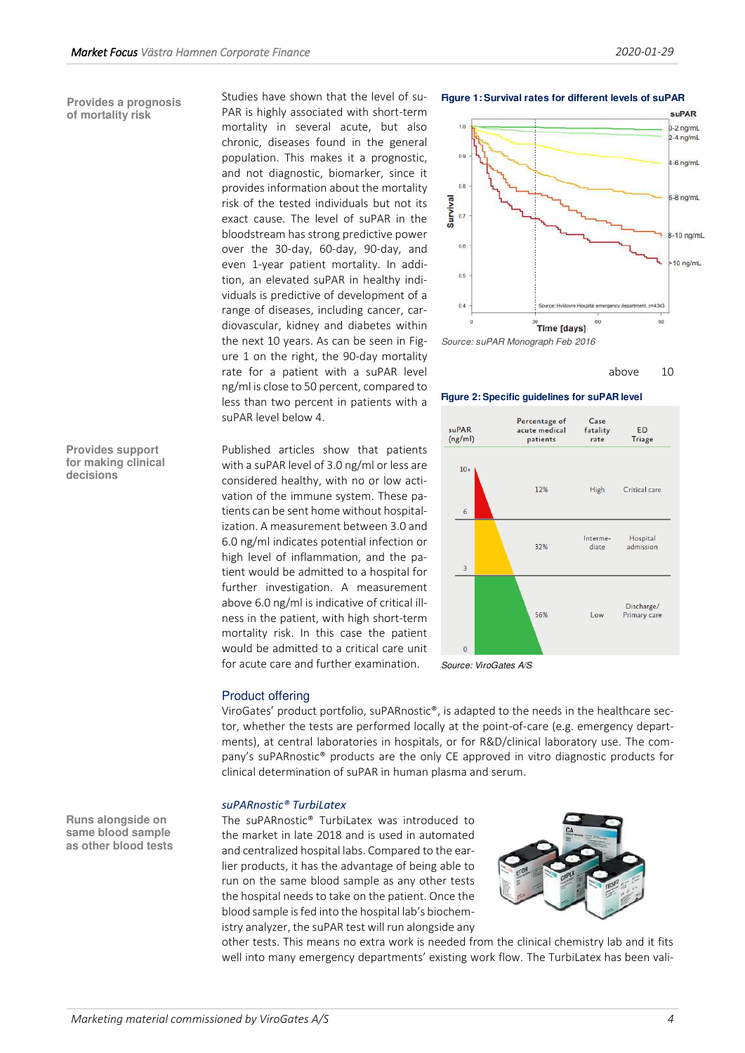#### **Provides a prognosis of mortality risk**

Studies have shown that the level of su-PAR is highly associated with short-term mortality in several acute, but also chronic, diseases found in the general population. This makes it a prognostic, and not diagnostic, biomarker, since it provides information about the mortality risk of the tested individuals but not its exact cause. The level of suPAR in the bloodstream has strong predictive power over the 30-day, 60-day, 90-day, and even 1-year patient mortality. In addition, an elevated suPAR in healthy individuals is predictive of development of a range of diseases, including cancer, cardiovascular, kidney and diabetes within the next 10 years. As can be seen in Figure 1 on the right, the 90-day mortality rate for a patient with a suPAR level and the state of the state of the state of the state of the state of the state of the state of the state of the state of the state of the state of the state of the state of the state o ng/ml is close to 50 percent, compared to less than two percent in patients with a suPAR level below 4.

Published articles show that patients with a suPAR level of 3.0 ng/ml or less are considered healthy, with no or low activation of the immune system. These patients can be sent home without hospitalization. A measurement between 3.0 and 6.0 ng/ml indicates potential infection or high level of inflammation, and the patient would be admitted to a hospital for further investigation. A measurement above 6.0 ng/ml is indicative of critical illness in the patient, with high short-term mortality risk. In this case the patient would be admitted to a critical care unit for acute care and further examination.

#### **Figure 1: Survival rates for different levels of suPAR**



Source: suPAR Monograph Feb 2016



#### **Figure 2: Specific guidelines for suPAR level**



Source: ViroGates A/S

#### Product offering

ViroGates' product portfolio, suPARnostic®, is adapted to the needs in the healthcare sector, whether the tests are performed locally at the point-of-care (e.g. emergency departments), at central laboratories in hospitals, or for R&D/clinical laboratory use. The company's suPARnostic® products are the only CE approved in vitro diagnostic products for clinical determination of suPAR in human plasma and serum.

## *suPARnostic® TurbiLatex*

The suPARnostic® TurbiLatex was introduced to the market in late 2018 and is used in automated and centralized hospital labs. Compared to the earlier products, it has the advantage of being able to run on the same blood sample as any other tests the hospital needs to take on the patient. Once the blood sample is fed into the hospital lab's biochemistry analyzer, the suPAR test will run alongside any



other tests. This means no extra work is needed from the clinical chemistry lab and it fits well into many emergency departments' existing work flow. The TurbiLatex has been vali-

**Runs alongside on same blood sample as other blood tests** 

**decisions** 

**Provides support for making clinical**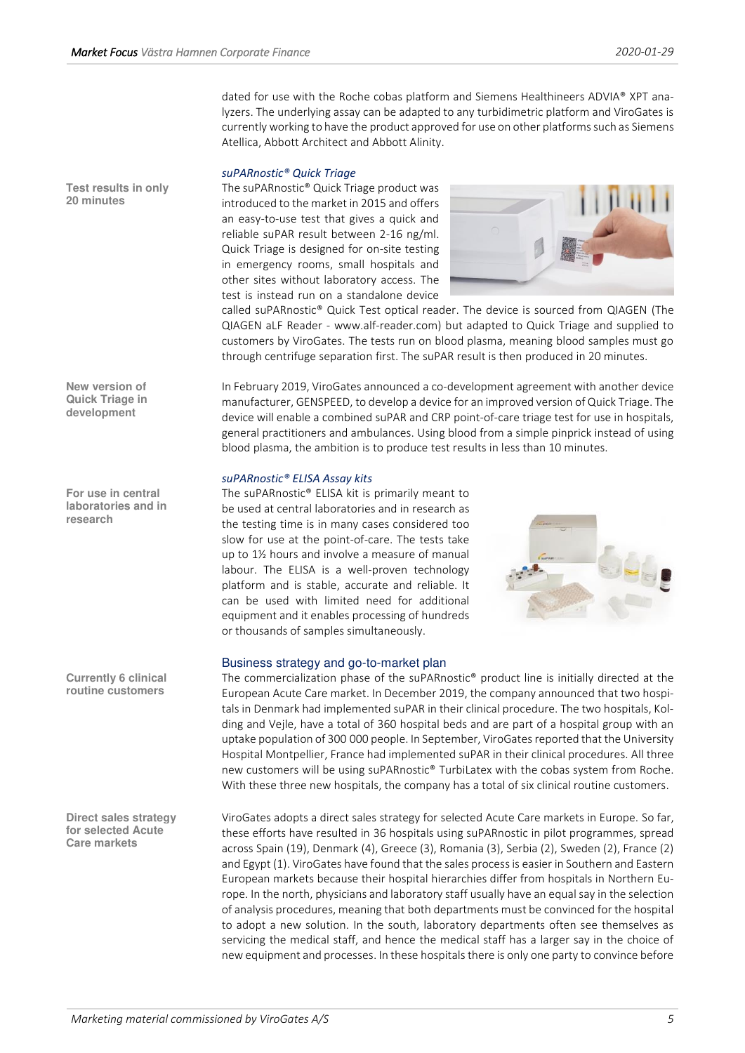dated for use with the Roche cobas platform and Siemens Healthineers ADVIA® XPT analyzers. The underlying assay can be adapted to any turbidimetric platform and ViroGates is currently working to have the product approved for use on other platforms such as Siemens Atellica, Abbott Architect and Abbott Alinity.

## *suPARnostic® Quick Triage*

The suPARnostic® Quick Triage product was introduced to the market in 2015 and offers an easy-to-use test that gives a quick and reliable suPAR result between 2-16 ng/ml. Quick Triage is designed for on-site testing in emergency rooms, small hospitals and other sites without laboratory access. The test is instead run on a standalone device



called suPARnostic® Quick Test optical reader. The device is sourced from QIAGEN (The QIAGEN aLF Reader - www.alf-reader.com) but adapted to Quick Triage and supplied to customers by ViroGates. The tests run on blood plasma, meaning blood samples must go through centrifuge separation first. The suPAR result is then produced in 20 minutes.

In February 2019, ViroGates announced a co-development agreement with another device manufacturer, GENSPEED, to develop a device for an improved version of Quick Triage. The device will enable a combined suPAR and CRP point-of-care triage test for use in hospitals, general practitioners and ambulances. Using blood from a simple pinprick instead of using blood plasma, the ambition is to produce test results in less than 10 minutes.

## *suPARnostic® ELISA Assay kits*

The suPARnostic® ELISA kit is primarily meant to be used at central laboratories and in research as the testing time is in many cases considered too slow for use at the point-of-care. The tests take up to 1½ hours and involve a measure of manual labour. The ELISA is a well-proven technology platform and is stable, accurate and reliable. It can be used with limited need for additional equipment and it enables processing of hundreds or thousands of samples simultaneously.



## Business strategy and go-to-market plan

The commercialization phase of the suPARnostic® product line is initially directed at the European Acute Care market. In December 2019, the company announced that two hospitals in Denmark had implemented suPAR in their clinical procedure. The two hospitals, Kolding and Vejle, have a total of 360 hospital beds and are part of a hospital group with an uptake population of 300 000 people. In September, ViroGates reported that the University Hospital Montpellier, France had implemented suPAR in their clinical procedures. All three new customers will be using suPARnostic® TurbiLatex with the cobas system from Roche. With these three new hospitals, the company has a total of six clinical routine customers.

ViroGates adopts a direct sales strategy for selected Acute Care markets in Europe. So far, these efforts have resulted in 36 hospitals using suPARnostic in pilot programmes, spread across Spain (19), Denmark (4), Greece (3), Romania (3), Serbia (2), Sweden (2), France (2) and Egypt (1). ViroGates have found that the sales process is easier in Southern and Eastern European markets because their hospital hierarchies differ from hospitals in Northern Europe. In the north, physicians and laboratory staff usually have an equal say in the selection of analysis procedures, meaning that both departments must be convinced for the hospital to adopt a new solution. In the south, laboratory departments often see themselves as servicing the medical staff, and hence the medical staff has a larger say in the choice of new equipment and processes. In these hospitals there is only one party to convince before

**Test results in only 20 minutes** 

**New version of Quick Triage in development** 

**For use in central laboratories and in research** 

**Currently 6 clinical routine customers** 

**Direct sales strategy for selected Acute Care markets**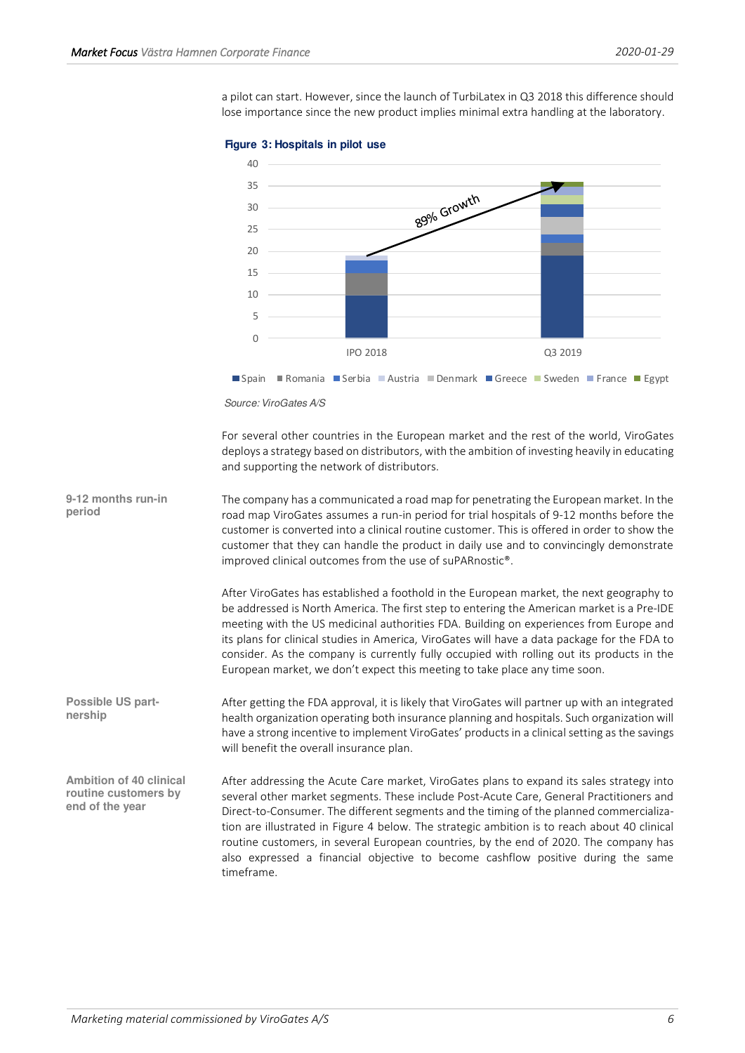a pilot can start. However, since the launch of TurbiLatex in Q3 2018 this difference should lose importance since the new product implies minimal extra handling at the laboratory.



#### **Figure 3: Hospitals in pilot use**

For several other countries in the European market and the rest of the world, ViroGates deploys a strategy based on distributors, with the ambition of investing heavily in educating and supporting the network of distributors.

The company has a communicated a road map for penetrating the European market. In the road map ViroGates assumes a run-in period for trial hospitals of 9-12 months before the customer is converted into a clinical routine customer. This is offered in order to show the customer that they can handle the product in daily use and to convincingly demonstrate improved clinical outcomes from the use of suPARnostic®. **9-12 months run-in period** 

> After ViroGates has established a foothold in the European market, the next geography to be addressed is North America. The first step to entering the American market is a Pre-IDE meeting with the US medicinal authorities FDA. Building on experiences from Europe and its plans for clinical studies in America, ViroGates will have a data package for the FDA to consider. As the company is currently fully occupied with rolling out its products in the European market, we don't expect this meeting to take place any time soon.

After getting the FDA approval, it is likely that ViroGates will partner up with an integrated health organization operating both insurance planning and hospitals. Such organization will have a strong incentive to implement ViroGates' products in a clinical setting as the savings will benefit the overall insurance plan. **Possible US partnership** 

After addressing the Acute Care market, ViroGates plans to expand its sales strategy into several other market segments. These include Post-Acute Care, General Practitioners and Direct-to-Consumer. The different segments and the timing of the planned commercialization are illustrated in Figure 4 below. The strategic ambition is to reach about 40 clinical routine customers, in several European countries, by the end of 2020. The company has also expressed a financial objective to become cashflow positive during the same timeframe. **Ambition of 40 clinical routine customers by end of the year** 

Source: ViroGates A/S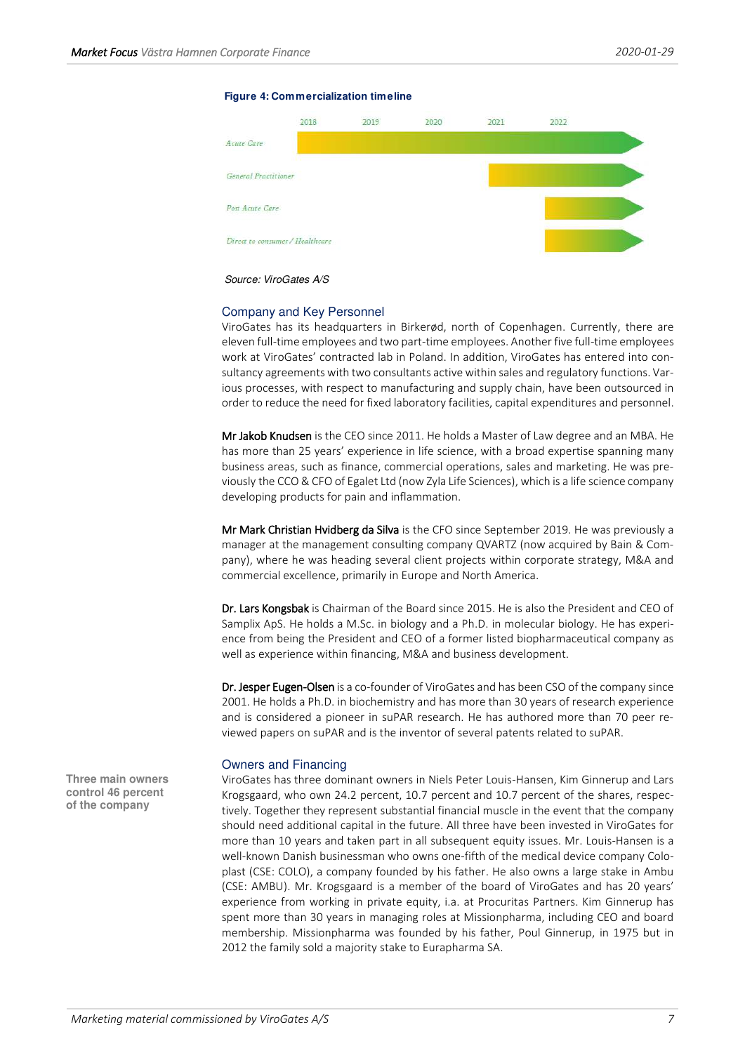#### **Figure 4: Commercialization timeline**



Source: ViroGates A/S

## Company and Key Personnel

ViroGates has its headquarters in Birkerød, north of Copenhagen. Currently, there are eleven full-time employees and two part-time employees. Another five full-time employees work at ViroGates' contracted lab in Poland. In addition, ViroGates has entered into consultancy agreements with two consultants active within sales and regulatory functions. Various processes, with respect to manufacturing and supply chain, have been outsourced in order to reduce the need for fixed laboratory facilities, capital expenditures and personnel.

Mr Jakob Knudsen is the CEO since 2011. He holds a Master of Law degree and an MBA. He has more than 25 years' experience in life science, with a broad expertise spanning many business areas, such as finance, commercial operations, sales and marketing. He was previously the CCO & CFO of Egalet Ltd (now Zyla Life Sciences), which is a life science company developing products for pain and inflammation.

Mr Mark Christian Hvidberg da Silva is the CFO since September 2019. He was previously a manager at the management consulting company QVARTZ (now acquired by Bain & Company), where he was heading several client projects within corporate strategy, M&A and commercial excellence, primarily in Europe and North America.

Dr. Lars Kongsbak is Chairman of the Board since 2015. He is also the President and CEO of Samplix ApS. He holds a M.Sc. in biology and a Ph.D. in molecular biology. He has experience from being the President and CEO of a former listed biopharmaceutical company as well as experience within financing, M&A and business development.

Dr. Jesper Eugen-Olsen is a co-founder of ViroGates and has been CSO of the company since 2001. He holds a Ph.D. in biochemistry and has more than 30 years of research experience and is considered a pioneer in suPAR research. He has authored more than 70 peer reviewed papers on suPAR and is the inventor of several patents related to suPAR.

## Owners and Financing

ViroGates has three dominant owners in Niels Peter Louis-Hansen, Kim Ginnerup and Lars Krogsgaard, who own 24.2 percent, 10.7 percent and 10.7 percent of the shares, respectively. Together they represent substantial financial muscle in the event that the company should need additional capital in the future. All three have been invested in ViroGates for more than 10 years and taken part in all subsequent equity issues. Mr. Louis-Hansen is a well-known Danish businessman who owns one-fifth of the medical device company Coloplast (CSE: COLO), a company founded by his father. He also owns a large stake in Ambu (CSE: AMBU). Mr. Krogsgaard is a member of the board of ViroGates and has 20 years' experience from working in private equity, i.a. at Procuritas Partners. Kim Ginnerup has spent more than 30 years in managing roles at Missionpharma, including CEO and board membership. Missionpharma was founded by his father, Poul Ginnerup, in 1975 but in 2012 the family sold a majority stake to Eurapharma SA.

**Three main owners control 46 percent of the company**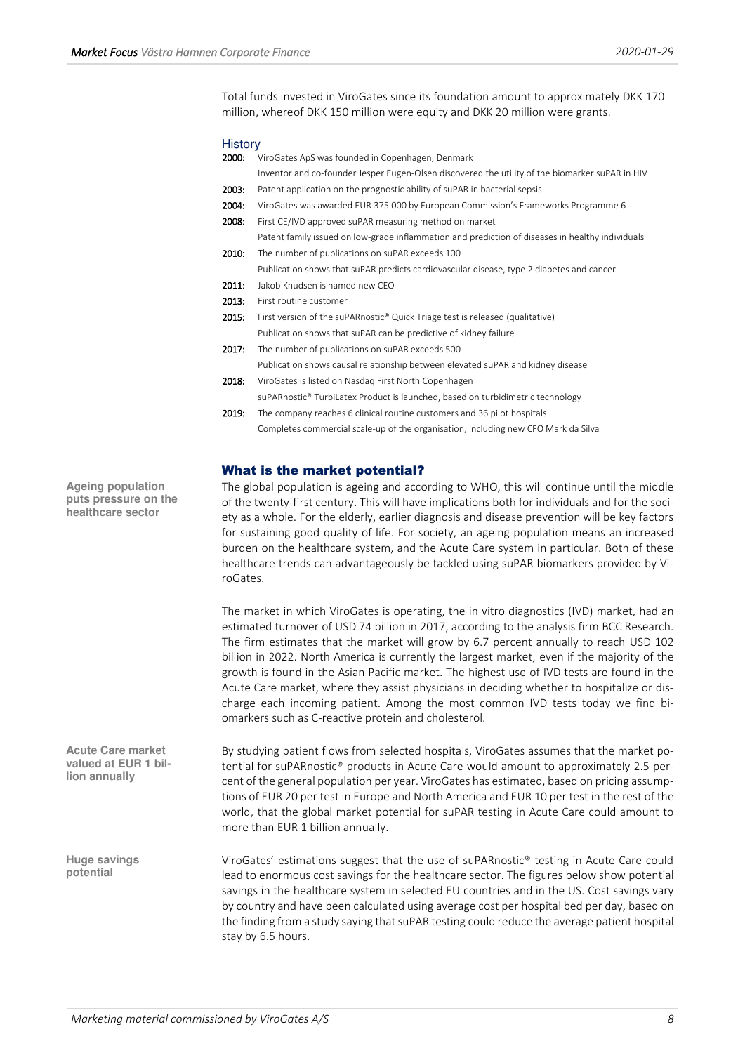Total funds invested in ViroGates since its foundation amount to approximately DKK 170 million, whereof DKK 150 million were equity and DKK 20 million were grants.

### **History**

| 2000: | ViroGates ApS was founded in Copenhagen, Denmark                                                 |
|-------|--------------------------------------------------------------------------------------------------|
|       | Inventor and co-founder Jesper Eugen-Olsen discovered the utility of the biomarker suPAR in HIV  |
| 2003: | Patent application on the prognostic ability of suPAR in bacterial sepsis                        |
| 2004: | ViroGates was awarded EUR 375 000 by European Commission's Frameworks Programme 6                |
| 2008: | First CE/IVD approved suPAR measuring method on market                                           |
|       | Patent family issued on low-grade inflammation and prediction of diseases in healthy individuals |
| 2010: | The number of publications on suPAR exceeds 100                                                  |
|       | Publication shows that suPAR predicts cardiovascular disease, type 2 diabetes and cancer         |
| 2011: | Jakob Knudsen is named new CEO                                                                   |
| 2013: | First routine customer                                                                           |
| 2015: | First version of the suPARnostic® Quick Triage test is released (qualitative)                    |
|       | Publication shows that suPAR can be predictive of kidney failure                                 |
| 2017: | The number of publications on suPAR exceeds 500                                                  |
|       | Publication shows causal relationship between elevated suPAR and kidney disease                  |
| 2018: | ViroGates is listed on Nasdag First North Copenhagen                                             |
|       | suPARnostic <sup>®</sup> TurbiLatex Product is launched, based on turbidimetric technology       |
| 2019: | The company reaches 6 clinical routine customers and 36 pilot hospitals                          |
|       | Completes commercial scale-up of the organisation, including new CFO Mark da Silva               |

# <span id="page-7-0"></span>What is the market potential?

The global population is ageing and according to WHO, this will continue until the middle of the twenty-first century. This will have implications both for individuals and for the society as a whole. For the elderly, earlier diagnosis and disease prevention will be key factors for sustaining good quality of life. For society, an ageing population means an increased burden on the healthcare system, and the Acute Care system in particular. Both of these healthcare trends can advantageously be tackled using suPAR biomarkers provided by ViroGates.

The market in which ViroGates is operating, the in vitro diagnostics (IVD) market, had an estimated turnover of USD 74 billion in 2017, according to the analysis firm BCC Research. The firm estimates that the market will grow by 6.7 percent annually to reach USD 102 billion in 2022. North America is currently the largest market, even if the majority of the growth is found in the Asian Pacific market. The highest use of IVD tests are found in the Acute Care market, where they assist physicians in deciding whether to hospitalize or discharge each incoming patient. Among the most common IVD tests today we find biomarkers such as C-reactive protein and cholesterol.

By studying patient flows from selected hospitals, ViroGates assumes that the market potential for suPARnostic® products in Acute Care would amount to approximately 2.5 percent of the general population per year. ViroGates has estimated, based on pricing assumptions of EUR 20 per test in Europe and North America and EUR 10 per test in the rest of the world, that the global market potential for suPAR testing in Acute Care could amount to more than EUR 1 billion annually.

ViroGates' estimations suggest that the use of suPARnostic® testing in Acute Care could lead to enormous cost savings for the healthcare sector. The figures below show potential savings in the healthcare system in selected EU countries and in the US. Cost savings vary by country and have been calculated using average cost per hospital bed per day, based on the finding from a study saying that suPAR testing could reduce the average patient hospital stay by 6.5 hours.

**Ageing population puts pressure on the healthcare sector** 

**Acute Care market valued at EUR 1 billion annually** 

**Huge savings potential**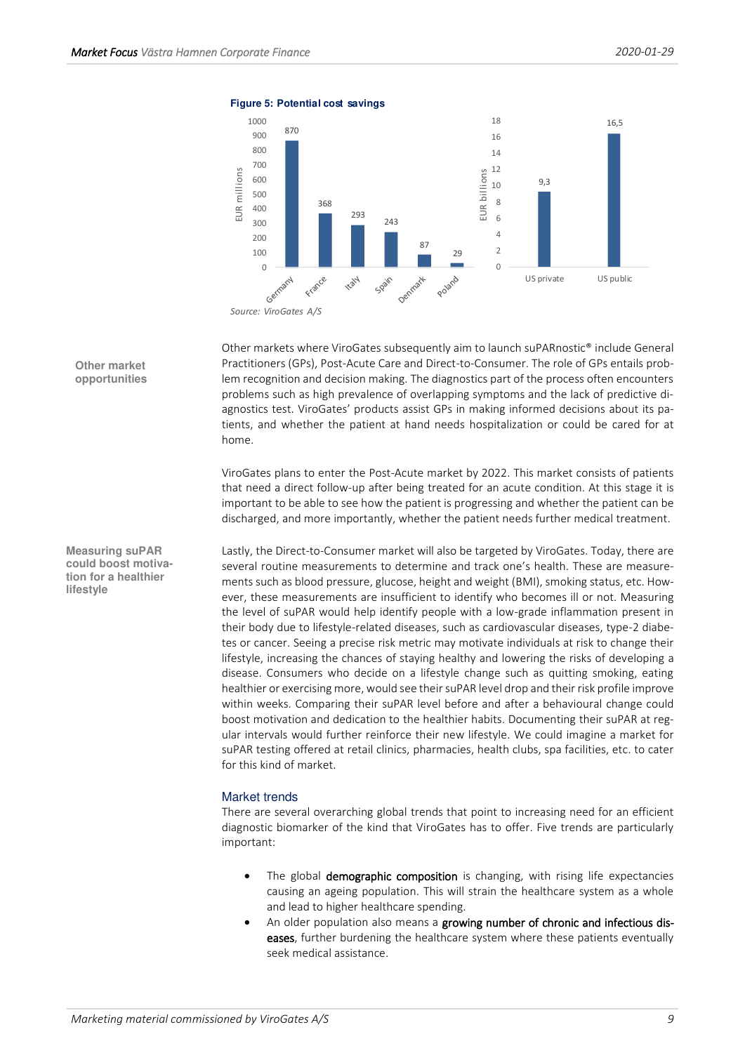

**Figure 5: Potential cost savings**

Other markets where ViroGates subsequently aim to launch suPARnostic® include General Practitioners (GPs), Post-Acute Care and Direct-to-Consumer. The role of GPs entails problem recognition and decision making. The diagnostics part of the process often encounters problems such as high prevalence of overlapping symptoms and the lack of predictive diagnostics test. ViroGates' products assist GPs in making informed decisions about its patients, and whether the patient at hand needs hospitalization or could be cared for at home.

ViroGates plans to enter the Post-Acute market by 2022. This market consists of patients that need a direct follow-up after being treated for an acute condition. At this stage it is important to be able to see how the patient is progressing and whether the patient can be discharged, and more importantly, whether the patient needs further medical treatment.

Lastly, the Direct-to-Consumer market will also be targeted by ViroGates. Today, there are several routine measurements to determine and track one's health. These are measurements such as blood pressure, glucose, height and weight (BMI), smoking status, etc. However, these measurements are insufficient to identify who becomes ill or not. Measuring the level of suPAR would help identify people with a low-grade inflammation present in their body due to lifestyle-related diseases, such as cardiovascular diseases, type-2 diabetes or cancer. Seeing a precise risk metric may motivate individuals at risk to change their lifestyle, increasing the chances of staying healthy and lowering the risks of developing a disease. Consumers who decide on a lifestyle change such as quitting smoking, eating healthier or exercising more, would see their suPAR level drop and their risk profile improve within weeks. Comparing their suPAR level before and after a behavioural change could boost motivation and dedication to the healthier habits. Documenting their suPAR at regular intervals would further reinforce their new lifestyle. We could imagine a market for suPAR testing offered at retail clinics, pharmacies, health clubs, spa facilities, etc. to cater for this kind of market.

## Market trends

There are several overarching global trends that point to increasing need for an efficient diagnostic biomarker of the kind that ViroGates has to offer. Five trends are particularly important:

- The global demographic composition is changing, with rising life expectancies causing an ageing population. This will strain the healthcare system as a whole and lead to higher healthcare spending.
- An older population also means a growing number of chronic and infectious diseases, further burdening the healthcare system where these patients eventually seek medical assistance.

**Other market opportunities** 

**Measuring suPAR could boost motivation for a healthier lifestyle**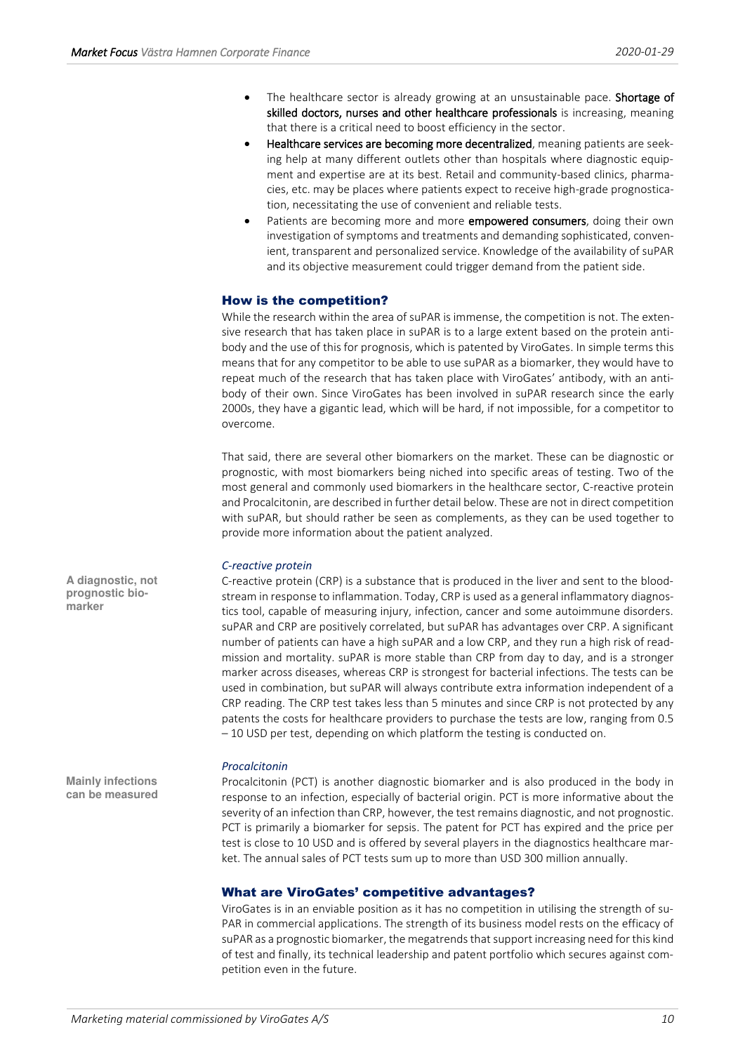- The healthcare sector is already growing at an unsustainable pace. Shortage of skilled doctors, nurses and other healthcare professionals is increasing, meaning that there is a critical need to boost efficiency in the sector.
- Healthcare services are becoming more decentralized, meaning patients are seeking help at many different outlets other than hospitals where diagnostic equipment and expertise are at its best. Retail and community-based clinics, pharmacies, etc. may be places where patients expect to receive high-grade prognostication, necessitating the use of convenient and reliable tests.
- Patients are becoming more and more **empowered consumers**, doing their own investigation of symptoms and treatments and demanding sophisticated, convenient, transparent and personalized service. Knowledge of the availability of suPAR and its objective measurement could trigger demand from the patient side.

# <span id="page-9-0"></span>How is the competition?

While the research within the area of suPAR is immense, the competition is not. The extensive research that has taken place in suPAR is to a large extent based on the protein antibody and the use of this for prognosis, which is patented by ViroGates. In simple terms this means that for any competitor to be able to use suPAR as a biomarker, they would have to repeat much of the research that has taken place with ViroGates' antibody, with an antibody of their own. Since ViroGates has been involved in suPAR research since the early 2000s, they have a gigantic lead, which will be hard, if not impossible, for a competitor to overcome.

That said, there are several other biomarkers on the market. These can be diagnostic or prognostic, with most biomarkers being niched into specific areas of testing. Two of the most general and commonly used biomarkers in the healthcare sector, C-reactive protein and Procalcitonin, are described in further detail below. These are not in direct competition with suPAR, but should rather be seen as complements, as they can be used together to provide more information about the patient analyzed.

## *C-reactive protein*

C-reactive protein (CRP) is a substance that is produced in the liver and sent to the bloodstream in response to inflammation. Today, CRP is used as a general inflammatory diagnostics tool, capable of measuring injury, infection, cancer and some autoimmune disorders. suPAR and CRP are positively correlated, but suPAR has advantages over CRP. A significant number of patients can have a high suPAR and a low CRP, and they run a high risk of readmission and mortality. suPAR is more stable than CRP from day to day, and is a stronger marker across diseases, whereas CRP is strongest for bacterial infections. The tests can be used in combination, but suPAR will always contribute extra information independent of a CRP reading. The CRP test takes less than 5 minutes and since CRP is not protected by any patents the costs for healthcare providers to purchase the tests are low, ranging from 0.5 – 10 USD per test, depending on which platform the testing is conducted on.

#### *Procalcitonin*

Procalcitonin (PCT) is another diagnostic biomarker and is also produced in the body in response to an infection, especially of bacterial origin. PCT is more informative about the severity of an infection than CRP, however, the test remains diagnostic, and not prognostic. PCT is primarily a biomarker for sepsis. The patent for PCT has expired and the price per test is close to 10 USD and is offered by several players in the diagnostics healthcare market. The annual sales of PCT tests sum up to more than USD 300 million annually.

## <span id="page-9-1"></span>What are ViroGates' competitive advantages?

ViroGates is in an enviable position as it has no competition in utilising the strength of su-PAR in commercial applications. The strength of its business model rests on the efficacy of suPAR as a prognostic biomarker, the megatrends that support increasing need for this kind of test and finally, its technical leadership and patent portfolio which secures against competition even in the future.

**A diagnostic, not prognostic biomarker** 

**Mainly infections can be measured**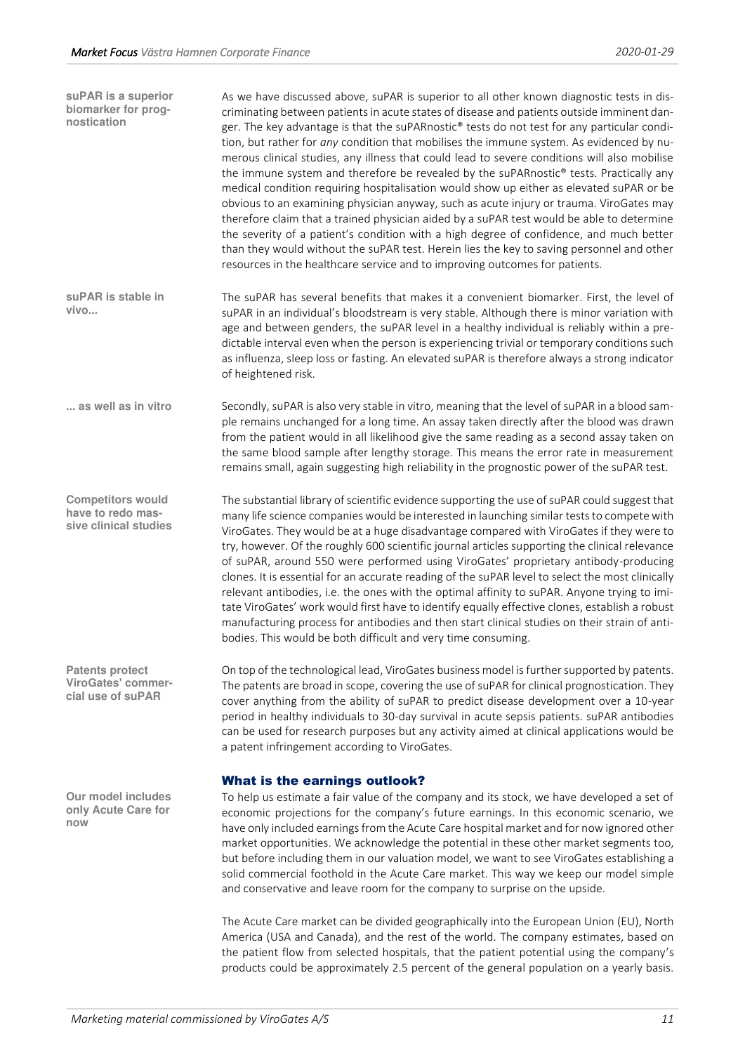| suPAR is a superior<br>biomarker for prog-<br>nostication                | As we have discussed above, suPAR is superior to all other known diagnostic tests in dis-<br>criminating between patients in acute states of disease and patients outside imminent dan-<br>ger. The key advantage is that the suPARnostic® tests do not test for any particular condi-<br>tion, but rather for any condition that mobilises the immune system. As evidenced by nu-<br>merous clinical studies, any illness that could lead to severe conditions will also mobilise<br>the immune system and therefore be revealed by the suPARnostic® tests. Practically any<br>medical condition requiring hospitalisation would show up either as elevated suPAR or be<br>obvious to an examining physician anyway, such as acute injury or trauma. ViroGates may<br>therefore claim that a trained physician aided by a suPAR test would be able to determine<br>the severity of a patient's condition with a high degree of confidence, and much better<br>than they would without the suPAR test. Herein lies the key to saving personnel and other<br>resources in the healthcare service and to improving outcomes for patients. |
|--------------------------------------------------------------------------|-----------------------------------------------------------------------------------------------------------------------------------------------------------------------------------------------------------------------------------------------------------------------------------------------------------------------------------------------------------------------------------------------------------------------------------------------------------------------------------------------------------------------------------------------------------------------------------------------------------------------------------------------------------------------------------------------------------------------------------------------------------------------------------------------------------------------------------------------------------------------------------------------------------------------------------------------------------------------------------------------------------------------------------------------------------------------------------------------------------------------------------------|
| suPAR is stable in<br>vivo                                               | The suPAR has several benefits that makes it a convenient biomarker. First, the level of<br>suPAR in an individual's bloodstream is very stable. Although there is minor variation with<br>age and between genders, the suPAR level in a healthy individual is reliably within a pre-<br>dictable interval even when the person is experiencing trivial or temporary conditions such<br>as influenza, sleep loss or fasting. An elevated suPAR is therefore always a strong indicator<br>of heightened risk.                                                                                                                                                                                                                                                                                                                                                                                                                                                                                                                                                                                                                            |
| as well as in vitro                                                      | Secondly, suPAR is also very stable in vitro, meaning that the level of suPAR in a blood sam-<br>ple remains unchanged for a long time. An assay taken directly after the blood was drawn<br>from the patient would in all likelihood give the same reading as a second assay taken on<br>the same blood sample after lengthy storage. This means the error rate in measurement<br>remains small, again suggesting high reliability in the prognostic power of the suPAR test.                                                                                                                                                                                                                                                                                                                                                                                                                                                                                                                                                                                                                                                          |
| <b>Competitors would</b><br>have to redo mas-<br>sive clinical studies   | The substantial library of scientific evidence supporting the use of suPAR could suggest that<br>many life science companies would be interested in launching similar tests to compete with<br>ViroGates. They would be at a huge disadvantage compared with ViroGates if they were to<br>try, however. Of the roughly 600 scientific journal articles supporting the clinical relevance<br>of suPAR, around 550 were performed using ViroGates' proprietary antibody-producing<br>clones. It is essential for an accurate reading of the suPAR level to select the most clinically<br>relevant antibodies, i.e. the ones with the optimal affinity to suPAR. Anyone trying to imi-<br>tate ViroGates' work would first have to identify equally effective clones, establish a robust<br>manufacturing process for antibodies and then start clinical studies on their strain of anti-<br>bodies. This would be both difficult and very time consuming.                                                                                                                                                                                 |
| <b>Patents protect</b><br><b>ViroGates' commer-</b><br>cial use of suPAR | On top of the technological lead, ViroGates business model is further supported by patents.<br>The patents are broad in scope, covering the use of suPAR for clinical prognostication. They<br>cover anything from the ability of suPAR to predict disease development over a 10-year<br>period in healthy individuals to 30-day survival in acute sepsis patients. suPAR antibodies<br>can be used for research purposes but any activity aimed at clinical applications would be<br>a patent infringement according to ViroGates.                                                                                                                                                                                                                                                                                                                                                                                                                                                                                                                                                                                                     |
|                                                                          | <b>What is the earnings outlook?</b>                                                                                                                                                                                                                                                                                                                                                                                                                                                                                                                                                                                                                                                                                                                                                                                                                                                                                                                                                                                                                                                                                                    |
| Our model includes<br>only Acute Care for<br>now                         | To help us estimate a fair value of the company and its stock, we have developed a set of<br>economic projections for the company's future earnings. In this economic scenario, we<br>have only included earnings from the Acute Care hospital market and for now ignored other<br>market opportunities. We acknowledge the potential in these other market segments too,<br>but before including them in our valuation model, we want to see ViroGates establishing a<br>solid commercial foothold in the Acute Care market. This way we keep our model simple<br>and conservative and leave room for the company to surprise on the upside.                                                                                                                                                                                                                                                                                                                                                                                                                                                                                           |
|                                                                          | The Acute Care market can be divided geographically into the European Union (EU), North                                                                                                                                                                                                                                                                                                                                                                                                                                                                                                                                                                                                                                                                                                                                                                                                                                                                                                                                                                                                                                                 |

<span id="page-10-0"></span>America (USA and Canada), and the rest of the world. The company estimates, based on the patient flow from selected hospitals, that the patient potential using the company's products could be approximately 2.5 percent of the general population on a yearly basis.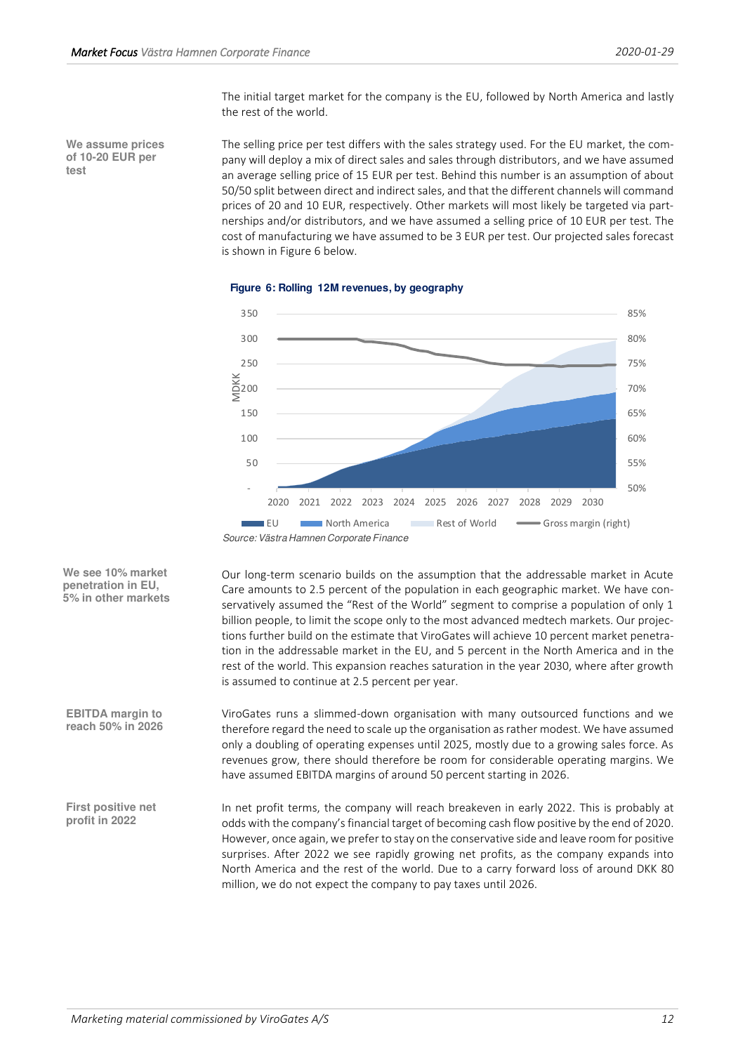The initial target market for the company is the EU, followed by North America and lastly the rest of the world.

**We assume prices of 10-20 EUR per test** 

The selling price per test differs with the sales strategy used. For the EU market, the company will deploy a mix of direct sales and sales through distributors, and we have assumed an average selling price of 15 EUR per test. Behind this number is an assumption of about 50/50 split between direct and indirect sales, and that the different channels will command prices of 20 and 10 EUR, respectively. Other markets will most likely be targeted via partnerships and/or distributors, and we have assumed a selling price of 10 EUR per test. The cost of manufacturing we have assumed to be 3 EUR per test. Our projected sales forecast is shown in Figure 6 below.



**Figure 6: Rolling 12M revenues, by geography**

is assumed to continue at 2.5 percent per year.

**We see 10% market penetration in EU, 5% in other markets** 

**EBITDA margin to reach 50% in 2026** ViroGates runs a slimmed-down organisation with many outsourced functions and we therefore regard the need to scale up the organisation as rather modest. We have assumed only a doubling of operating expenses until 2025, mostly due to a growing sales force. As revenues grow, there should therefore be room for considerable operating margins. We have assumed EBITDA margins of around 50 percent starting in 2026.

Our long-term scenario builds on the assumption that the addressable market in Acute Care amounts to 2.5 percent of the population in each geographic market. We have conservatively assumed the "Rest of the World" segment to comprise a population of only 1 billion people, to limit the scope only to the most advanced medtech markets. Our projections further build on the estimate that ViroGates will achieve 10 percent market penetration in the addressable market in the EU, and 5 percent in the North America and in the rest of the world. This expansion reaches saturation in the year 2030, where after growth

In net profit terms, the company will reach breakeven in early 2022. This is probably at odds with the company's financial target of becoming cash flow positive by the end of 2020. However, once again, we prefer to stay on the conservative side and leave room for positive surprises. After 2022 we see rapidly growing net profits, as the company expands into North America and the rest of the world. Due to a carry forward loss of around DKK 80 million, we do not expect the company to pay taxes until 2026. **First positive net profit in 2022** 

Source: Västra Hamnen Corporate Finance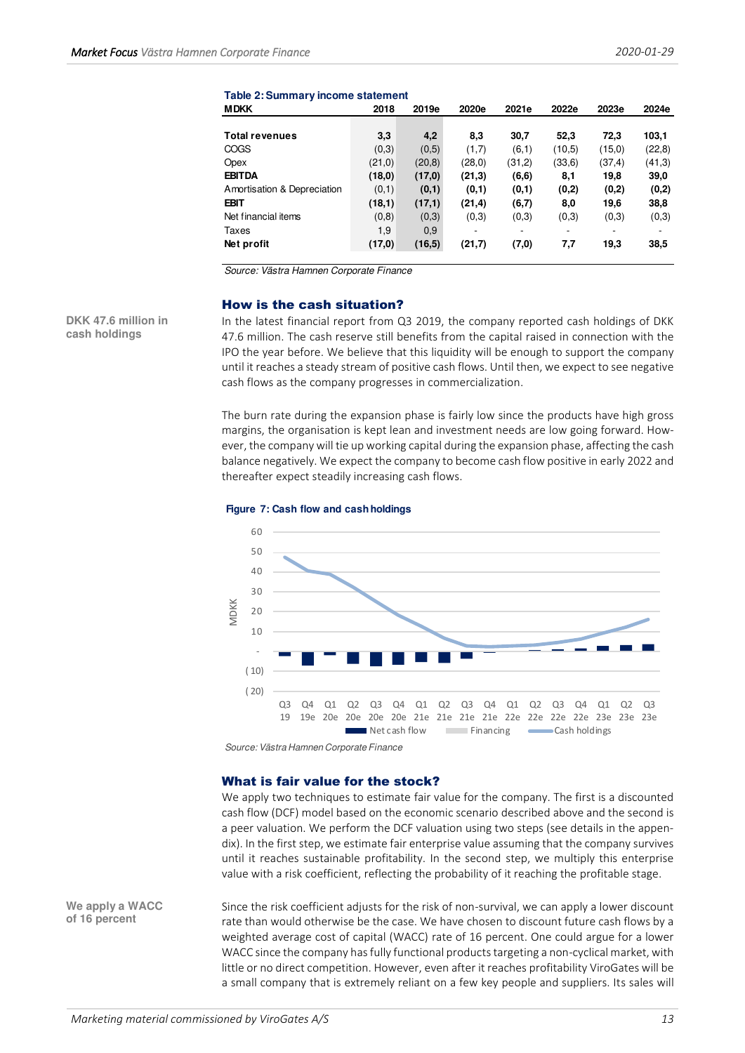| <b>MDKK</b>                 | 2018    | 2019e   | 2020e                    | 2021e  | 2022e  | 2023e   | 2024e  |
|-----------------------------|---------|---------|--------------------------|--------|--------|---------|--------|
|                             |         |         |                          |        |        |         |        |
| <b>Total revenues</b>       | 3,3     | 4,2     | 8,3                      | 30,7   | 52,3   | 72,3    | 103.1  |
| COGS                        | (0,3)   | (0,5)   | (1,7)                    | (6,1)  | (10,5) | (15,0)  | (22,8) |
| Opex                        | (21,0)  | (20, 8) | (28,0)                   | (31,2) | (33,6) | (37, 4) | (41,3) |
| <b>EBITDA</b>               | (18,0)  | (17,0)  | (21,3)                   | (6, 6) | 8,1    | 19,8    | 39,0   |
| Amortisation & Depreciation | (0,1)   | (0,1)   | (0,1)                    | (0,1)  | (0,2)  | (0,2)   | (0,2)  |
| EBIT                        | (18,1)  | (17,1)  | (21, 4)                  | (6,7)  | 8,0    | 19,6    | 38,8   |
| Net financial items         | (0,8)   | (0,3)   | (0,3)                    | (0,3)  | (0,3)  | (0,3)   | (0,3)  |
| Taxes                       | 1,9     | 0.9     | $\overline{\phantom{0}}$ |        | ۰      | ٠       |        |
| Net profit                  | (17, 0) | (16, 5) | (21,7)                   | (7,0)  | 7,7    | 19,3    | 38,5   |

#### **Table 2: Summary income statement**

Source: Västra Hamnen Corporate Finance

#### <span id="page-12-0"></span>How is the cash situation?

**DKK 47.6 million in cash holdings** 

In the latest financial report from Q3 2019, the company reported cash holdings of DKK 47.6 million. The cash reserve still benefits from the capital raised in connection with the IPO the year before. We believe that this liquidity will be enough to support the company until it reaches a steady stream of positive cash flows. Until then, we expect to see negative cash flows as the company progresses in commercialization.

The burn rate during the expansion phase is fairly low since the products have high gross margins, the organisation is kept lean and investment needs are low going forward. However, the company will tie up working capital during the expansion phase, affecting the cash balance negatively. We expect the company to become cash flow positive in early 2022 and thereafter expect steadily increasing cash flows.





Source: Västra Hamnen Corporate Finance

#### <span id="page-12-1"></span>What is fair value for the stock?

We apply two techniques to estimate fair value for the company. The first is a discounted cash flow (DCF) model based on the economic scenario described above and the second is a peer valuation. We perform the DCF valuation using two steps (see details in the appendix). In the first step, we estimate fair enterprise value assuming that the company survives until it reaches sustainable profitability. In the second step, we multiply this enterprise value with a risk coefficient, reflecting the probability of it reaching the profitable stage.

Since the risk coefficient adjusts for the risk of non-survival, we can apply a lower discount rate than would otherwise be the case. We have chosen to discount future cash flows by a weighted average cost of capital (WACC) rate of 16 percent. One could argue for a lower WACC since the company has fully functional products targeting a non-cyclical market, with little or no direct competition. However, even after it reaches profitability ViroGates will be a small company that is extremely reliant on a few key people and suppliers. Its sales will **We apply a WACC of 16 percent**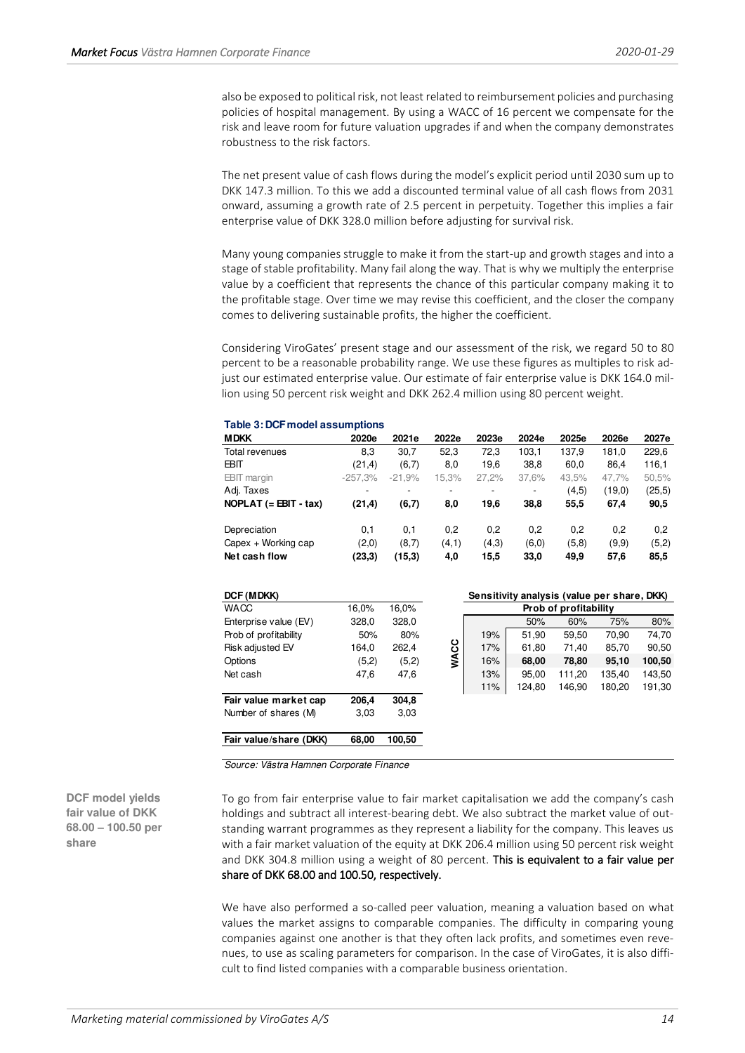also be exposed to political risk, not least related to reimbursement policies and purchasing policies of hospital management. By using a WACC of 16 percent we compensate for the risk and leave room for future valuation upgrades if and when the company demonstrates robustness to the risk factors.

The net present value of cash flows during the model's explicit period until 2030 sum up to DKK 147.3 million. To this we add a discounted terminal value of all cash flows from 2031 onward, assuming a growth rate of 2.5 percent in perpetuity. Together this implies a fair enterprise value of DKK 328.0 million before adjusting for survival risk.

Many young companies struggle to make it from the start-up and growth stages and into a stage of stable profitability. Many fail along the way. That is why we multiply the enterprise value by a coefficient that represents the chance of this particular company making it to the profitable stage. Over time we may revise this coefficient, and the closer the company comes to delivering sustainable profits, the higher the coefficient.

Considering ViroGates' present stage and our assessment of the risk, we regard 50 to 80 percent to be a reasonable probability range. We use these figures as multiples to risk adjust our estimated enterprise value. Our estimate of fair enterprise value is DKK 164.0 million using 50 percent risk weight and DKK 262.4 million using 80 percent weight.

| 2020e     | 2021e                    | 2022e                    | 2023e | 2024e  |       |        |        |
|-----------|--------------------------|--------------------------|-------|--------|-------|--------|--------|
|           |                          |                          |       |        | 2025e | 2026e  | 2027e  |
|           | 30,7                     | 52,3                     | 72,3  | 103,1  | 137.9 | 181,0  | 229,6  |
| (21, 4)   | (6,7)                    | 8,0                      | 19,6  | 38,8   | 60,0  | 86,4   | 116,1  |
| $-257.3%$ | $-21.9%$                 | 15,3%                    | 27,2% | 37,6%  | 43,5% | 47,7%  | 50,5%  |
| -         | $\overline{\phantom{0}}$ | $\overline{\phantom{a}}$ |       | ۰      | (4,5) | (19,0) | (25,5) |
| (21, 4)   | (6,7)                    | 8,0                      | 19.6  | 38,8   | 55,5  | 67,4   | 90,5   |
| 0.1       | 0,1                      | 0,2                      | 0.2   | 0,2    | 0,2   | 0.2    | 0,2    |
| (2,0)     | (8,7)                    | (4,1)                    | (4,3) | (6, 0) | (5,8) | (9,9)  | (5,2)  |
| (23,3)    | (15,3)                   | 4,0                      | 15,5  | 33,0   | 49,9  | 57,6   | 85,5   |
|           | 8,3                      |                          |       |        |       |        |        |

#### **Table 3: DCF model assumptions**

| DCF (MDKK)              |       |        |             |     | Sensitivity analysis (value per share, DKK) |                       |        |        |
|-------------------------|-------|--------|-------------|-----|---------------------------------------------|-----------------------|--------|--------|
| <b>WACC</b>             | 16,0% | 16,0%  |             |     |                                             | Prob of profitability |        |        |
| Enterprise value (EV)   | 328,0 | 328,0  |             |     | 50%                                         | 60%                   | 75%    | 80%    |
| Prob of profitability   | 50%   | 80%    |             | 19% | 51,90                                       | 59,50                 | 70.90  | 74,70  |
| <b>Risk adjusted EV</b> | 164,0 | 262,4  |             | 17% | 61.80                                       | 71.40                 | 85.70  | 90,50  |
| Options                 | (5,2) | (5,2)  | <b>WACC</b> | 16% | 68,00                                       | 78,80                 | 95,10  | 100,50 |
| Net cash                | 47,6  | 47,6   |             | 13% | 95,00                                       | 111,20                | 135,40 | 143,50 |
|                         |       |        |             | 11% | 124.80                                      | 146.90                | 180.20 | 191,30 |
| Fair value market cap   | 206,4 | 304,8  |             |     |                                             |                       |        |        |
| Number of shares (M)    | 3.03  | 3,03   |             |     |                                             |                       |        |        |
| Fair value/share (DKK)  | 68,00 | 100,50 |             |     |                                             |                       |        |        |

Source: Västra Hamnen Corporate Finance

To go from fair enterprise value to fair market capitalisation we add the company's cash holdings and subtract all interest-bearing debt. We also subtract the market value of outstanding warrant programmes as they represent a liability for the company. This leaves us with a fair market valuation of the equity at DKK 206.4 million using 50 percent risk weight and DKK 304.8 million using a weight of 80 percent. This is equivalent to a fair value per share of DKK 68.00 and 100.50, respectively.

We have also performed a so-called peer valuation, meaning a valuation based on what values the market assigns to comparable companies. The difficulty in comparing young companies against one another is that they often lack profits, and sometimes even revenues, to use as scaling parameters for comparison. In the case of ViroGates, it is also difficult to find listed companies with a comparable business orientation.

**DCF model yields fair value of DKK 68.00 – 100.50 per share**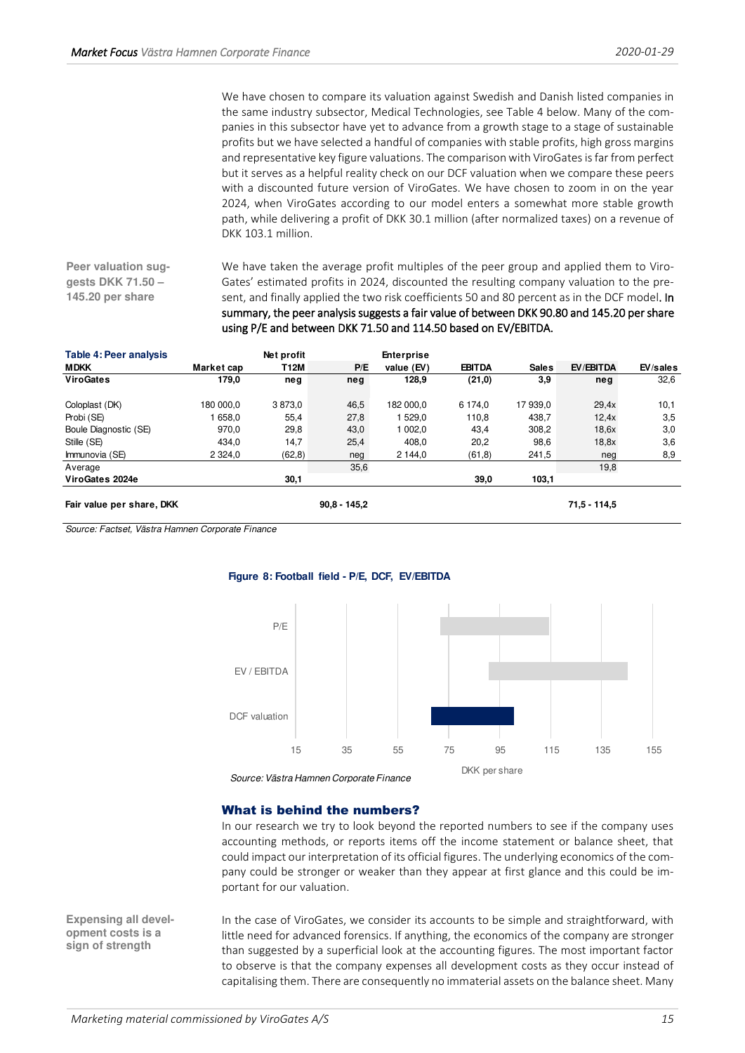We have chosen to compare its valuation against Swedish and Danish listed companies in the same industry subsector, Medical Technologies, see Table 4 below. Many of the companies in this subsector have yet to advance from a growth stage to a stage of sustainable profits but we have selected a handful of companies with stable profits, high gross margins and representative key figure valuations. The comparison with ViroGates is far from perfect but it serves as a helpful reality check on our DCF valuation when we compare these peers with a discounted future version of ViroGates. We have chosen to zoom in on the year 2024, when ViroGates according to our model enters a somewhat more stable growth path, while delivering a profit of DKK 30.1 million (after normalized taxes) on a revenue of DKK 103.1 million.

**Peer valuation suggests DKK 71.50 – 145.20 per share** 

We have taken the average profit multiples of the peer group and applied them to Viro-Gates' estimated profits in 2024, discounted the resulting company valuation to the present, and finally applied the two risk coefficients 50 and 80 percent as in the DCF model. In summary, the peer analysis suggests a fair value of between DKK 90.80 and 145.20 per share using P/E and between DKK 71.50 and 114.50 based on EV/EBITDA.

| <b>Table 4: Peer analysis</b> |             | Net profit |                | <b>Enterprise</b> |               |              |                |          |
|-------------------------------|-------------|------------|----------------|-------------------|---------------|--------------|----------------|----------|
| <b>MDKK</b>                   | Market cap  | T12M       | P/E            | value (EV)        | <b>EBITDA</b> | <b>Sales</b> | EV/EBITDA      | EV/sales |
| <b>ViroGates</b>              | 179,0       | neg        | neg            | 128,9             | (21,0)        | 3.9          | neg            | 32,6     |
| Coloplast (DK)                | 180 000.0   | 3873,0     | 46,5           | 182 000.0         | 6 174.0       | 17 939.0     | 29.4x          | 10,1     |
| Probi (SE)                    | 658.0       | 55,4       | 27,8           | 1 529.0           | 110,8         | 438,7        | 12.4x          | 3,5      |
| Boule Diagnostic (SE)         | 970,0       | 29,8       | 43,0           | 1 002.0           | 43,4          | 308,2        | 18.6x          | 3,0      |
| Stille (SE)                   | 434,0       | 14,7       | 25,4           | 408,0             | 20,2          | 98,6         | 18.8x          | 3,6      |
| Immunovia (SE)                | 2 3 2 4 , 0 | (62, 8)    | neg            | 2 144.0           | (61, 8)       | 241,5        | neg            | 8,9      |
| Average                       |             |            | 35,6           |                   |               |              | 19,8           |          |
| ViroGates 2024e               |             | 30,1       |                |                   | 39,0          | 103,1        |                |          |
| Fair value per share, DKK     |             |            | $90.8 - 145.2$ |                   |               |              | $71.5 - 114.5$ |          |

Source: Factset, Västra Hamnen Corporate Finance

#### **Figure 8: Football field - P/E, DCF, EV/EBITDA**



Source: Västra Hamnen Corporate Finance

## <span id="page-14-0"></span>What is behind the numbers?

In our research we try to look beyond the reported numbers to see if the company uses accounting methods, or reports items off the income statement or balance sheet, that could impact our interpretation of its official figures. The underlying economics of the company could be stronger or weaker than they appear at first glance and this could be important for our valuation.

**Expensing all development costs is a sign of strength** 

In the case of ViroGates, we consider its accounts to be simple and straightforward, with little need for advanced forensics. If anything, the economics of the company are stronger than suggested by a superficial look at the accounting figures. The most important factor to observe is that the company expenses all development costs as they occur instead of capitalising them. There are consequently no immaterial assets on the balance sheet. Many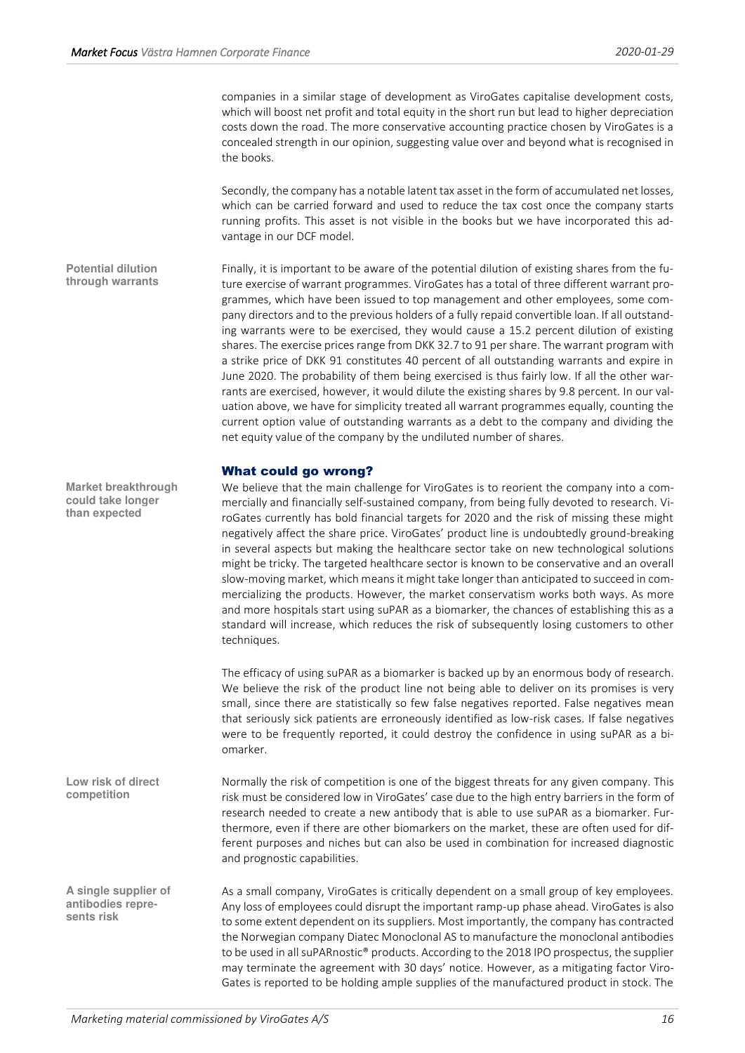companies in a similar stage of development as ViroGates capitalise development costs, which will boost net profit and total equity in the short run but lead to higher depreciation costs down the road. The more conservative accounting practice chosen by ViroGates is a concealed strength in our opinion, suggesting value over and beyond what is recognised in the books.

Secondly, the company has a notable latent tax asset in the form of accumulated net losses, which can be carried forward and used to reduce the tax cost once the company starts running profits. This asset is not visible in the books but we have incorporated this advantage in our DCF model.

Finally, it is important to be aware of the potential dilution of existing shares from the future exercise of warrant programmes. ViroGates has a total of three different warrant programmes, which have been issued to top management and other employees, some company directors and to the previous holders of a fully repaid convertible loan. If all outstanding warrants were to be exercised, they would cause a 15.2 percent dilution of existing shares. The exercise prices range from DKK 32.7 to 91 per share. The warrant program with a strike price of DKK 91 constitutes 40 percent of all outstanding warrants and expire in June 2020. The probability of them being exercised is thus fairly low. If all the other warrants are exercised, however, it would dilute the existing shares by 9.8 percent. In our valuation above, we have for simplicity treated all warrant programmes equally, counting the current option value of outstanding warrants as a debt to the company and dividing the net equity value of the company by the undiluted number of shares. **Potential dilution through warrants** 

## <span id="page-15-0"></span>What could go wrong?

We believe that the main challenge for ViroGates is to reorient the company into a commercially and financially self-sustained company, from being fully devoted to research. ViroGates currently has bold financial targets for 2020 and the risk of missing these might negatively affect the share price. ViroGates' product line is undoubtedly ground-breaking in several aspects but making the healthcare sector take on new technological solutions might be tricky. The targeted healthcare sector is known to be conservative and an overall slow-moving market, which means it might take longer than anticipated to succeed in commercializing the products. However, the market conservatism works both ways. As more and more hospitals start using suPAR as a biomarker, the chances of establishing this as a standard will increase, which reduces the risk of subsequently losing customers to other techniques.

The efficacy of using suPAR as a biomarker is backed up by an enormous body of research. We believe the risk of the product line not being able to deliver on its promises is very small, since there are statistically so few false negatives reported. False negatives mean that seriously sick patients are erroneously identified as low-risk cases. If false negatives were to be frequently reported, it could destroy the confidence in using suPAR as a biomarker.

Normally the risk of competition is one of the biggest threats for any given company. This risk must be considered low in ViroGates' case due to the high entry barriers in the form of research needed to create a new antibody that is able to use suPAR as a biomarker. Furthermore, even if there are other biomarkers on the market, these are often used for different purposes and niches but can also be used in combination for increased diagnostic and prognostic capabilities.

> As a small company, ViroGates is critically dependent on a small group of key employees. Any loss of employees could disrupt the important ramp-up phase ahead. ViroGates is also to some extent dependent on its suppliers. Most importantly, the company has contracted the Norwegian company Diatec Monoclonal AS to manufacture the monoclonal antibodies to be used in all suPARnostic® products. According to the 2018 IPO prospectus, the supplier may terminate the agreement with 30 days' notice. However, as a mitigating factor Viro-Gates is reported to be holding ample supplies of the manufactured product in stock. The

**Market breakthrough could take longer than expected** 

**Low risk of direct competition** 

**A single supplier of antibodies represents risk**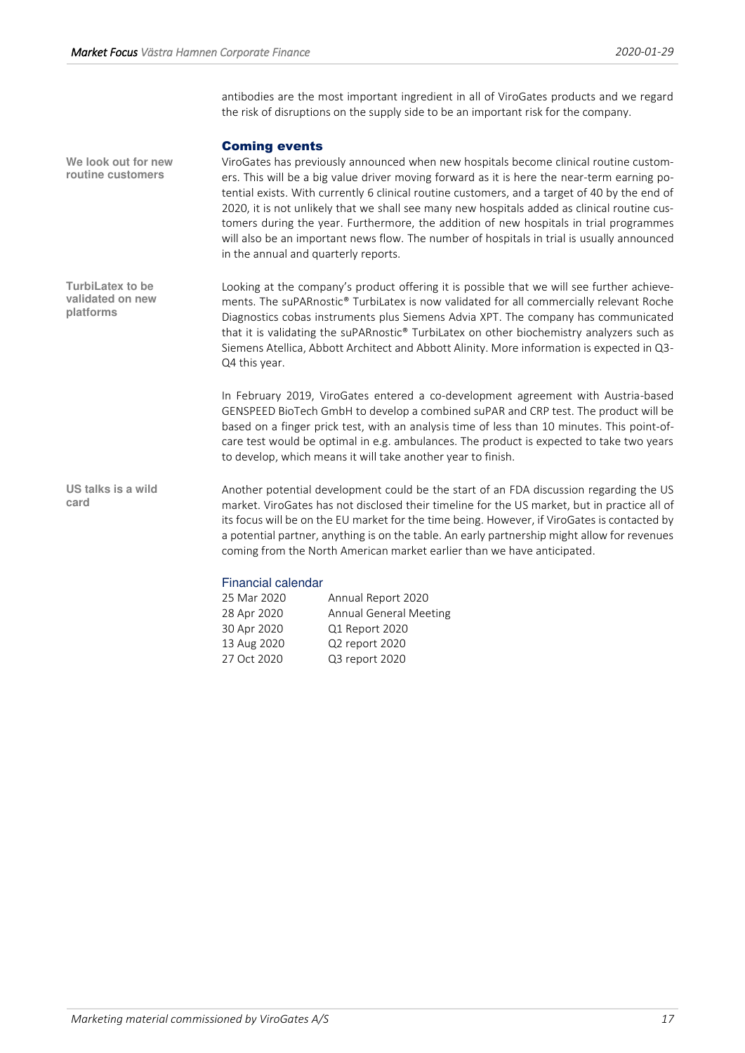antibodies are the most important ingredient in all of ViroGates products and we regard the risk of disruptions on the supply side to be an important risk for the company.

## <span id="page-16-0"></span>Coming events

ViroGates has previously announced when new hospitals become clinical routine customers. This will be a big value driver moving forward as it is here the near-term earning potential exists. With currently 6 clinical routine customers, and a target of 40 by the end of 2020, it is not unlikely that we shall see many new hospitals added as clinical routine customers during the year. Furthermore, the addition of new hospitals in trial programmes will also be an important news flow. The number of hospitals in trial is usually announced in the annual and quarterly reports. **We look out for new routine customers** 

Looking at the company's product offering it is possible that we will see further achievements. The suPARnostic® TurbiLatex is now validated for all commercially relevant Roche Diagnostics cobas instruments plus Siemens Advia XPT. The company has communicated that it is validating the suPARnostic® TurbiLatex on other biochemistry analyzers such as Siemens Atellica, Abbott Architect and Abbott Alinity. More information is expected in Q3- Q4 this year. **TurbiLatex to be validated on new platforms** 

> In February 2019, ViroGates entered a co-development agreement with Austria-based GENSPEED BioTech GmbH to develop a combined suPAR and CRP test. The product will be based on a finger prick test, with an analysis time of less than 10 minutes. This point-ofcare test would be optimal in e.g. ambulances. The product is expected to take two years to develop, which means it will take another year to finish.

Another potential development could be the start of an FDA discussion regarding the US market. ViroGates has not disclosed their timeline for the US market, but in practice all of its focus will be on the EU market for the time being. However, if ViroGates is contacted by a potential partner, anything is on the table. An early partnership might allow for revenues coming from the North American market earlier than we have anticipated. **US talks is a wild card** 

# Financial calendar

| 25 Mar 2020 | Annual Report 2020            |
|-------------|-------------------------------|
| 28 Apr 2020 | <b>Annual General Meeting</b> |
| 30 Apr 2020 | Q1 Report 2020                |
| 13 Aug 2020 | Q2 report 2020                |
| 27 Oct 2020 | Q3 report 2020                |
|             |                               |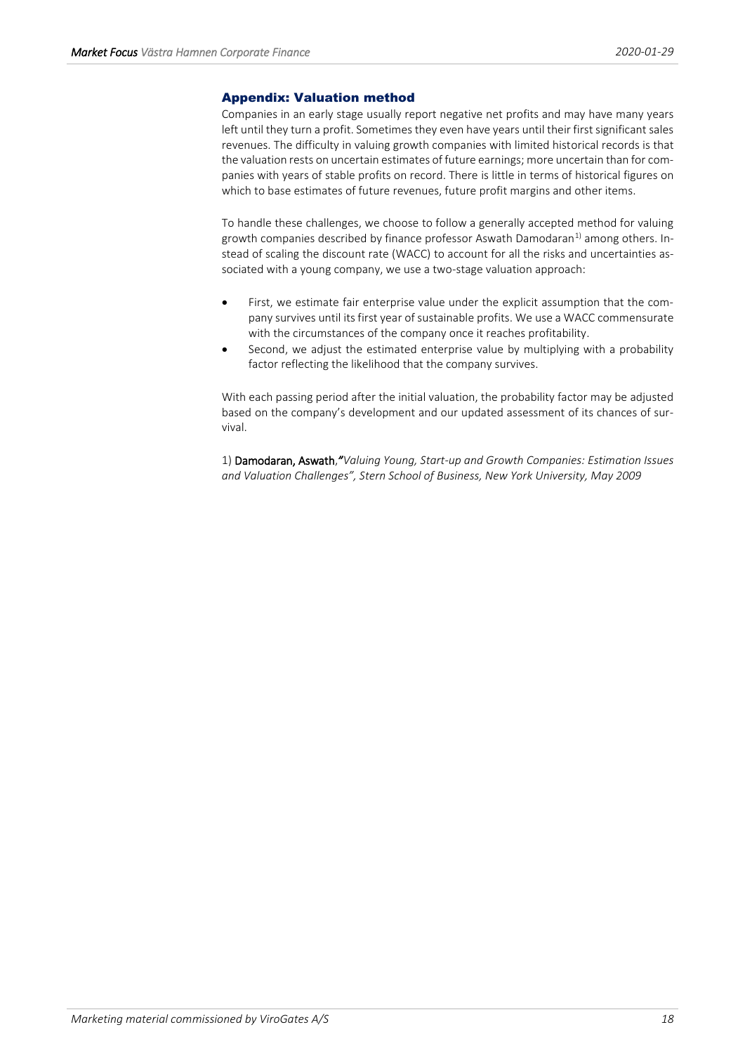# <span id="page-17-0"></span>Appendix: Valuation method

Companies in an early stage usually report negative net profits and may have many years left until they turn a profit. Sometimes they even have years until their first significant sales revenues. The difficulty in valuing growth companies with limited historical records is that the valuation rests on uncertain estimates of future earnings; more uncertain than for companies with years of stable profits on record. There is little in terms of historical figures on which to base estimates of future revenues, future profit margins and other items.

To handle these challenges, we choose to follow a generally accepted method for valuing growth companies described by finance professor Aswath Damodaran $^{1}$  among others. Instead of scaling the discount rate (WACC) to account for all the risks and uncertainties associated with a young company, we use a two-stage valuation approach:

- First, we estimate fair enterprise value under the explicit assumption that the company survives until its first year of sustainable profits. We use a WACC commensurate with the circumstances of the company once it reaches profitability.
- Second, we adjust the estimated enterprise value by multiplying with a probability factor reflecting the likelihood that the company survives.

With each passing period after the initial valuation, the probability factor may be adjusted based on the company's development and our updated assessment of its chances of survival.

1) Damodaran, Aswath,*"Valuing Young, Start-up and Growth Companies: Estimation Issues and Valuation Challenges", Stern School of Business, New York University, May 2009*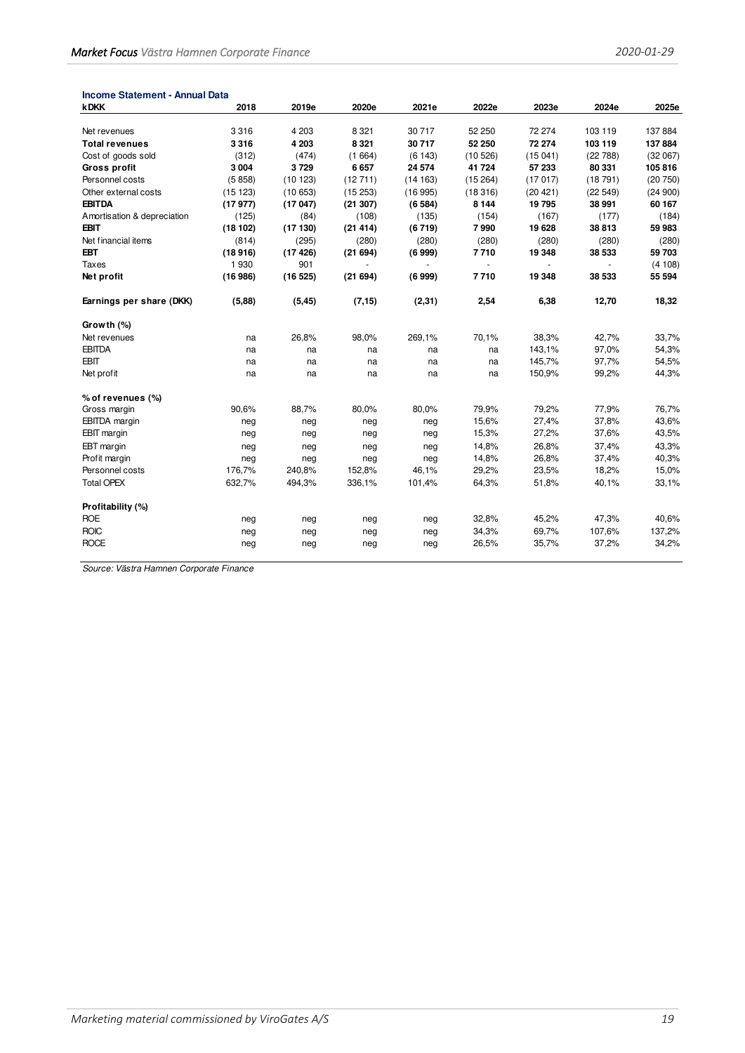| <b>Income Statement - Annual Data</b> |         |         |         |         |         |          |         |         |
|---------------------------------------|---------|---------|---------|---------|---------|----------|---------|---------|
| <b>kDKK</b>                           | 2018    | 2019e   | 2020e   | 2021e   | 2022e   | 2023e    | 2024e   | 2025e   |
|                                       |         |         |         |         |         |          |         |         |
| Net revenues                          | 3316    | 4 2 0 3 | 8 3 21  | 30 717  | 52 250  | 72 274   | 103 119 | 137 884 |
| <b>Total revenues</b>                 | 3316    | 4 203   | 8 3 2 1 | 30717   | 52 250  | 72 274   | 103 119 | 137 884 |
| Cost of goods sold                    | (312)   | (474)   | (1664)  | (6143)  | (10526) | (15041)  | (22788) | (32067) |
| <b>Gross profit</b>                   | 3 0 0 4 | 3729    | 6657    | 24 574  | 41 724  | 57 233   | 80 331  | 105 816 |
| Personnel costs                       | (5858)  | (10123) | (12711) | (14163) | (15264) | (17017)  | (18791) | (20750) |
| Other external costs                  | (15123) | (10653) | (15253) | (16995) | (18316) | (20 421) | (22549) | (24900) |
| <b>EBITDA</b>                         | (17977) | (17047) | (21307) | (6584)  | 8 1 4 4 | 19795    | 38 991  | 60 167  |
| Amortisation & depreciation           | (125)   | (84)    | (108)   | (135)   | (154)   | (167)    | (177)   | (184)   |
| <b>EBIT</b>                           | (18102) | (17130) | (21414) | (6719)  | 7990    | 19 628   | 38813   | 59 983  |
| Net financial items                   | (814)   | (295)   | (280)   | (280)   | (280)   | (280)    | (280)   | (280)   |
| <b>EBT</b>                            | (18916) | (17426) | (21694) | (6999)  | 7710    | 19 348   | 38 533  | 59703   |
| Taxes                                 | 1930    | 901     |         | ÷.      | $\sim$  |          |         | (4108)  |
| Net profit                            | (16986) | (16525) | (21694) | (6999)  | 7710    | 19 348   | 38 533  | 55 594  |
| Earnings per share (DKK)              | (5,88)  | (5, 45) | (7, 15) | (2, 31) | 2,54    | 6,38     | 12,70   | 18,32   |
| Growth (%)                            |         |         |         |         |         |          |         |         |
| Net revenues                          | na      | 26,8%   | 98,0%   | 269,1%  | 70,1%   | 38,3%    | 42,7%   | 33,7%   |
| <b>EBITDA</b>                         | na      | na      | na      | na      | na      | 143,1%   | 97,0%   | 54,3%   |
| <b>EBIT</b>                           | na      | na      | na      | na      | na      | 145,7%   | 97,7%   | 54,5%   |
| Net profit                            | na      | na      | na      | na      | na      | 150,9%   | 99,2%   | 44,3%   |
| % of revenues (%)                     |         |         |         |         |         |          |         |         |
| Gross margin                          | 90,6%   | 88,7%   | 80,0%   | 80,0%   | 79,9%   | 79,2%    | 77,9%   | 76,7%   |
| <b>EBITDA</b> margin                  | neg     | neg     | neg     | neg     | 15,6%   | 27,4%    | 37,8%   | 43,6%   |
| <b>EBIT</b> margin                    | neg     | neg     | neg     | neg     | 15,3%   | 27,2%    | 37,6%   | 43,5%   |
| EBT margin                            | neg     | neg     | neg     | neg     | 14,8%   | 26,8%    | 37,4%   | 43,3%   |
| Profit margin                         | neg     | neg     | neg     | neg     | 14,8%   | 26,8%    | 37,4%   | 40,3%   |
| Personnel costs                       | 176,7%  | 240,8%  | 152,8%  | 46,1%   | 29,2%   | 23,5%    | 18,2%   | 15,0%   |
| <b>Total OPEX</b>                     | 632,7%  | 494,3%  | 336,1%  | 101,4%  | 64,3%   | 51,8%    | 40,1%   | 33,1%   |
| Profitability (%)                     |         |         |         |         |         |          |         |         |
| <b>ROE</b>                            | neg     | neg     | neg     | neg     | 32,8%   | 45,2%    | 47,3%   | 40,6%   |
| <b>ROIC</b>                           | neg     | neg     | neg     | neg     | 34,3%   | 69,7%    | 107,6%  | 137,2%  |
| <b>ROCE</b>                           | neg     | neg     | neg     | neg     | 26,5%   | 35,7%    | 37,2%   | 34,2%   |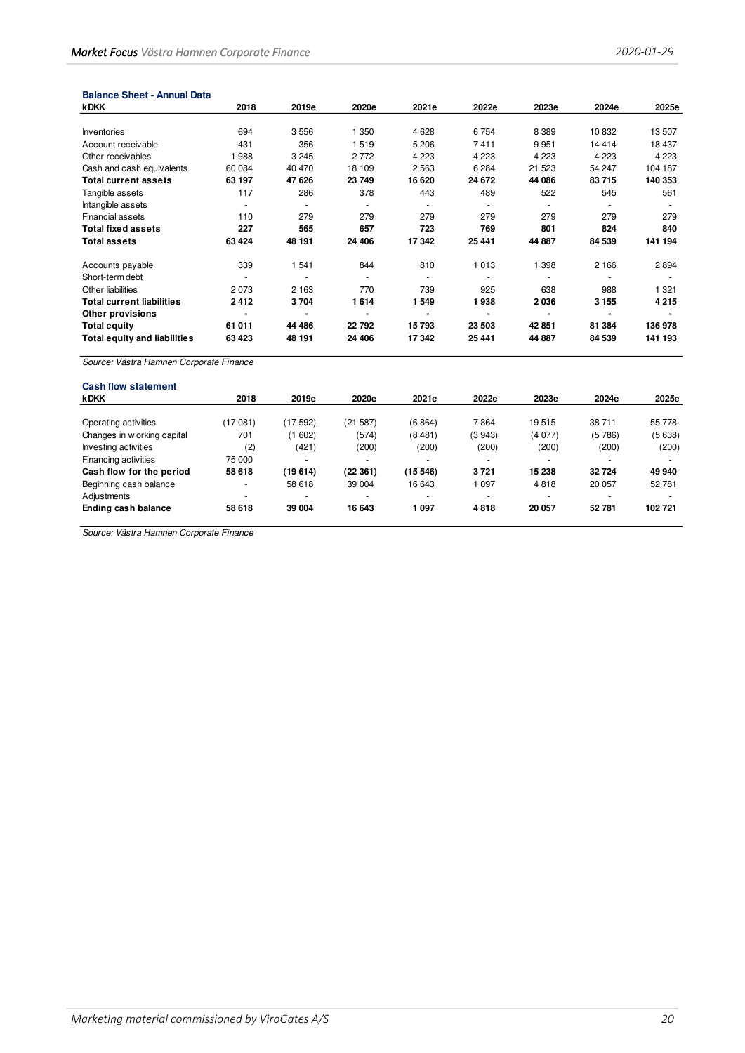#### **Balance Sheet - Annual Data**

| <b>kDKK</b>                         | 2018    | 2019e   | 2020e   | 2021e   | 2022e   | 2023e   | 2024e   | 2025e   |
|-------------------------------------|---------|---------|---------|---------|---------|---------|---------|---------|
|                                     |         |         |         |         |         |         |         |         |
| <b>Inventories</b>                  | 694     | 3556    | 1 350   | 4628    | 6754    | 8 3 8 9 | 10832   | 13507   |
| Account receivable                  | 431     | 356     | 1519    | 5 2 0 6 | 7411    | 9951    | 14 4 14 | 18 437  |
| Other receivables                   | 988     | 3 2 4 5 | 2 7 7 2 | 4 2 2 3 | 4 2 2 3 | 4 2 2 3 | 4 2 2 3 | 4 2 2 3 |
| Cash and cash equivalents           | 60 084  | 40 470  | 18 109  | 2563    | 6 2 8 4 | 21 523  | 54 247  | 104 187 |
| <b>Total current assets</b>         | 63 197  | 47 626  | 23749   | 16 620  | 24 672  | 44 086  | 83715   | 140 353 |
| Tangible assets                     | 117     | 286     | 378     | 443     | 489     | 522     | 545     | 561     |
| Intangible assets                   |         |         |         | ٠       |         |         |         |         |
| <b>Financial assets</b>             | 110     | 279     | 279     | 279     | 279     | 279     | 279     | 279     |
| <b>Total fixed assets</b>           | 227     | 565     | 657     | 723     | 769     | 801     | 824     | 840     |
| <b>Total assets</b>                 | 63 4 24 | 48 191  | 24 406  | 17 342  | 25 441  | 44 887  | 84 539  | 141 194 |
| Accounts payable                    | 339     | 541     | 844     | 810     | 1 0 1 3 | 1 3 9 8 | 2 1 6 6 | 2894    |
| Short-term debt                     |         |         |         | $\sim$  |         |         |         |         |
| Other liabilities                   | 2073    | 2 1 6 3 | 770     | 739     | 925     | 638     | 988     | 1 3 2 1 |
| <b>Total current liabilities</b>    | 2412    | 3704    | 1614    | 1549    | 1938    | 2036    | 3 1 5 5 | 4215    |
| Other provisions                    |         | ۰       |         |         |         |         |         |         |
| <b>Total equity</b>                 | 61 011  | 44 486  | 22792   | 15793   | 23 503  | 42 851  | 81 384  | 136 978 |
| <b>Total equity and liabilities</b> | 63 423  | 48 191  | 24 406  | 17342   | 25 441  | 44 887  | 84 539  | 141 193 |

Source: Västra Hamnen Corporate Finance

| <b>Cash flow statement</b>  |                          |                          |          |         |                          |                          |        |        |
|-----------------------------|--------------------------|--------------------------|----------|---------|--------------------------|--------------------------|--------|--------|
| <b>kDKK</b>                 | 2018                     | 2019e                    | 2020e    | 2021e   | 2022e                    | 2023e                    | 2024e  | 2025e  |
|                             |                          |                          |          |         |                          |                          |        |        |
| Operating activities        | (17 081)                 | (17592)                  | (21 587) | (6864)  | 7864                     | 19515                    | 38711  | 55 778 |
| Changes in w orking capital | 701                      | (1602)                   | (574)    | (8481)  | (3943)                   | (4077)                   | (5786) | (5638) |
| Investing activities        | (2)                      | (421)                    | (200)    | (200)   | (200)                    | (200)                    | (200)  | (200)  |
| Financing activities        | 75 000                   | $\overline{\phantom{0}}$ |          |         |                          | $\overline{\phantom{a}}$ |        |        |
| Cash flow for the period    | 58 618                   | (19 614)                 | (22361)  | (15546) | 3721                     | 15 238                   | 32724  | 49 940 |
| Beginning cash balance      | ٠                        | 58 618                   | 39 004   | 16 643  | 1 0 9 7                  | 4818                     | 20 057 | 52 781 |
| Adjustments                 | $\overline{\phantom{a}}$ | $\overline{\phantom{a}}$ |          |         | $\overline{\phantom{0}}$ | $\overline{\phantom{a}}$ |        |        |
| Ending cash balance         | 58 618                   | 39 004                   | 16 643   | 1 097   | 4818                     | 20 057                   | 52781  | 102721 |
|                             |                          |                          |          |         |                          |                          |        |        |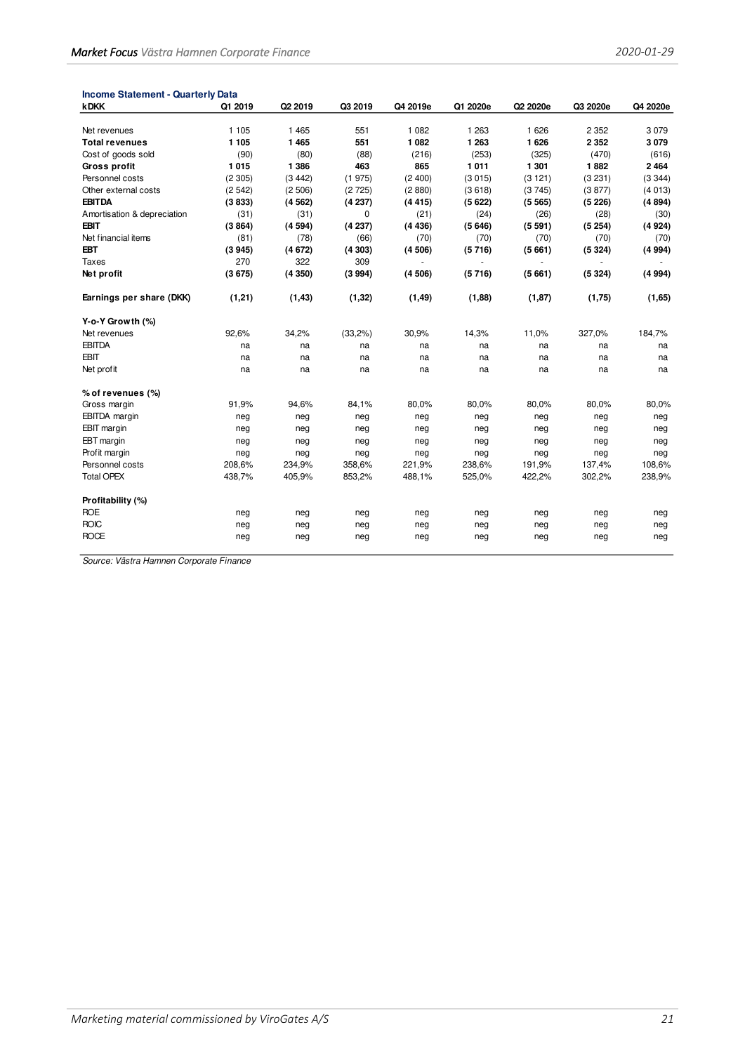| <b>kDKK</b>                 | Q1 2019 | Q2 2019 | Q3 2019     | Q4 2019e       | Q1 2020e | Q2 2020e | Q3 2020e | Q4 2020e |
|-----------------------------|---------|---------|-------------|----------------|----------|----------|----------|----------|
|                             |         |         |             |                |          |          |          |          |
| Net revenues                | 1 1 0 5 | 1 4 6 5 | 551         | 1 0 8 2        | 1 2 6 3  | 1626     | 2 3 5 2  | 3079     |
| <b>Total revenues</b>       | 1 1 0 5 | 1 4 6 5 | 551         | 1082           | 1 2 6 3  | 1626     | 2 3 5 2  | 3079     |
| Cost of goods sold          | (90)    | (80)    | (88)        | (216)          | (253)    | (325)    | (470)    | (616)    |
| <b>Gross profit</b>         | 1015    | 1 3 8 6 | 463         | 865            | 1011     | 1 3 0 1  | 1882     | 2464     |
| Personnel costs             | (2305)  | (3442)  | (1975)      | (2400)         | (3015)   | (3121)   | (3231)   | (3344)   |
| Other external costs        | (2542)  | (2506)  | (2725)      | (2880)         | (3618)   | (3745)   | (3877)   | (4013)   |
| <b>EBITDA</b>               | (3833)  | (4562)  | (4237)      | (4415)         | (5622)   | (5565)   | (5226)   | (4894)   |
| Amortisation & depreciation | (31)    | (31)    | $\mathbf 0$ | (21)           | (24)     | (26)     | (28)     | (30)     |
| <b>EBIT</b>                 | (3864)  | (4594)  | (4237)      | (4436)         | (5646)   | (5591)   | (5254)   | (4924)   |
| Net financial items         | (81)    | (78)    | (66)        | (70)           | (70)     | (70)     | (70)     | (70)     |
| EBT                         | (3945)  | (4672)  | (4303)      | (4506)         | (5716)   | (5661)   | (5324)   | (4994)   |
| <b>Taxes</b>                | 270     | 322     | 309         | $\blacksquare$ | $\sim$   | ÷.       | $\sim$   |          |
| Net profit                  | (3675)  | (4350)  | (3994)      | (4506)         | (5716)   | (5661)   | (5324)   | (4994)   |
| Earnings per share (DKK)    | (1,21)  | (1, 43) | (1, 32)     | (1, 49)        | (1,88)   | (1, 87)  | (1,75)   | (1,65)   |
| Y-o-Y Growth (%)            |         |         |             |                |          |          |          |          |
| Net revenues                | 92,6%   | 34,2%   | (33,2%)     | 30,9%          | 14,3%    | 11,0%    | 327,0%   | 184,7%   |
| <b>EBITDA</b>               | na      | na      | na          | na             | na       | na       | na       | na       |
| <b>EBIT</b>                 | na      | na      | na          | na             | na       | na       | na       | na       |
| Net profit                  | na      | na      | na          | na             | na       | na       | na       | na       |
| % of revenues (%)           |         |         |             |                |          |          |          |          |
| Gross margin                | 91,9%   | 94,6%   | 84,1%       | 80,0%          | 80,0%    | 80,0%    | 80,0%    | 80,0%    |
| <b>EBITDA</b> margin        | neg     | neg     | neg         | neg            | neg      | neg      | neg      | neg      |
| <b>EBIT</b> margin          | neg     | neg     | neg         | neg            | neg      | neg      | neg      | neg      |
| EBT margin                  | neg     | neg     | neg         | neg            | neg      | neg      | neg      | neg      |
| Profit margin               | neg     | neg     | neg         | neg            | neg      | neg      | neg      | neg      |
| Personnel costs             | 208,6%  | 234,9%  | 358,6%      | 221,9%         | 238,6%   | 191,9%   | 137,4%   | 108,6%   |
| <b>Total OPEX</b>           | 438,7%  | 405,9%  | 853,2%      | 488,1%         | 525,0%   | 422,2%   | 302,2%   | 238,9%   |
| Profitability (%)           |         |         |             |                |          |          |          |          |
| <b>ROE</b>                  | neg     | neg     | neg         | neg            | neg      | neg      | neg      | neg      |
| <b>ROIC</b>                 | neg     | neg     | neg         | neg            | neg      | neg      | neg      | neg      |
| <b>ROCE</b>                 | neg     | neg     | neg         | neg            | neg      | neg      | neg      | neg      |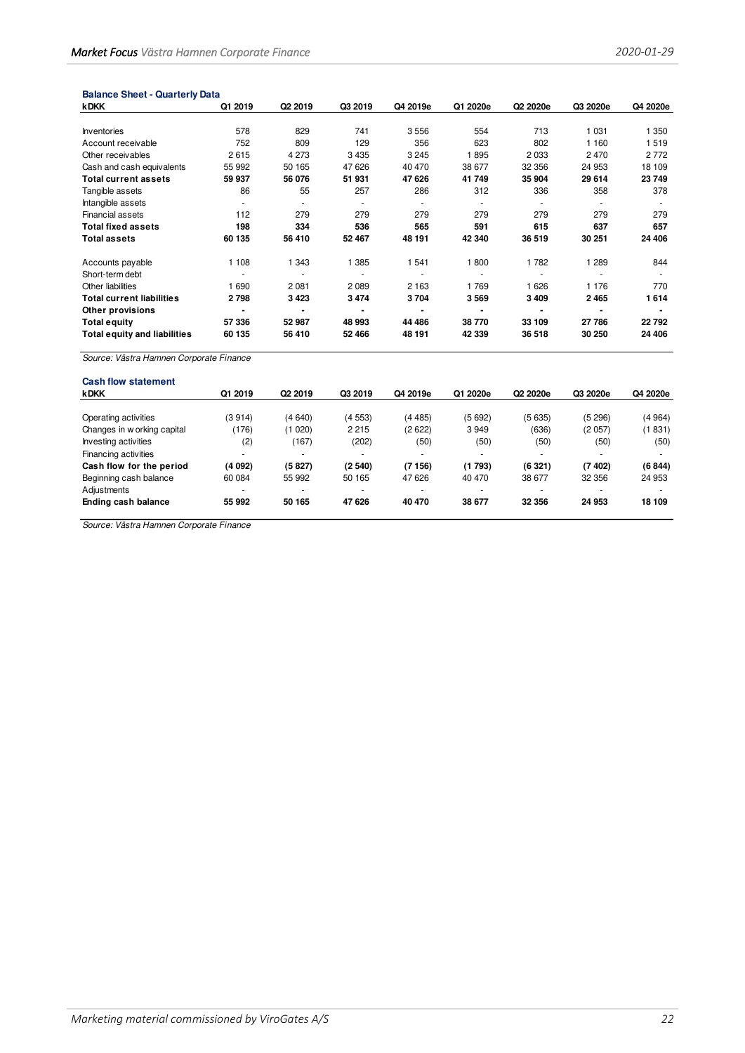| <b>Balance Sheet - Quarterly Data</b>   |         |                     |         |          |          |          |          |          |
|-----------------------------------------|---------|---------------------|---------|----------|----------|----------|----------|----------|
| <b>kDKK</b>                             | Q1 2019 | Q <sub>2</sub> 2019 | Q3 2019 | Q4 2019e | Q1 2020e | Q2 2020e | Q3 2020e | Q4 2020e |
| <b>Inventories</b>                      | 578     | 829                 | 741     | 3556     | 554      | 713      | 1 0 3 1  | 1 3 5 0  |
| Account receivable                      | 752     | 809                 | 129     | 356      | 623      | 802      | 1 1 6 0  | 1519     |
| Other receivables                       | 2615    | 4 2 7 3             | 3 4 3 5 | 3 2 4 5  | 1895     | 2033     | 2470     | 2 7 7 2  |
| Cash and cash equivalents               | 55 992  | 50 165              | 47 626  | 40 470   | 38 677   | 32 356   | 24 953   | 18 109   |
| <b>Total current assets</b>             | 59 937  | 56 076              | 51 931  | 47 626   | 41749    | 35 904   | 29614    | 23 749   |
| Tangible assets                         | 86      | 55                  | 257     | 286      | 312      | 336      | 358      | 378      |
| Intangible assets                       |         | $\blacksquare$      |         | $\sim$   |          |          |          |          |
| <b>Financial assets</b>                 | 112     | 279                 | 279     | 279      | 279      | 279      | 279      | 279      |
| <b>Total fixed assets</b>               | 198     | 334                 | 536     | 565      | 591      | 615      | 637      | 657      |
| <b>Total assets</b>                     | 60 135  | 56 410              | 52 467  | 48 191   | 42 340   | 36 519   | 30 251   | 24 406   |
| Accounts payable                        | 1 1 0 8 | 1 3 4 3             | 1 3 8 5 | 1 541    | 1800     | 1782     | 1 2 8 9  | 844      |
| Short-term debt                         |         |                     |         |          |          |          |          |          |
| Other liabilities                       | 1690    | 2 0 8 1             | 2089    | 2 1 6 3  | 1769     | 1626     | 1 1 7 6  | 770      |
| <b>Total current liabilities</b>        | 2798    | 3423                | 3474    | 3704     | 3569     | 3 4 0 9  | 2465     | 1614     |
| Other provisions                        |         |                     |         |          |          |          |          |          |
| <b>Total equity</b>                     | 57 336  | 52 987              | 48 993  | 44 486   | 38770    | 33 109   | 27786    | 22792    |
| <b>Total equity and liabilities</b>     | 60 135  | 56 410              | 52 466  | 48 191   | 42 339   | 36 518   | 30 250   | 24 406   |
| Source: Västra Hamnen Corporate Finance |         |                     |         |          |          |          |          |          |
| <b>Cash flow statement</b>              |         |                     |         |          |          |          |          |          |
| <b>kDKK</b>                             | Q1 2019 | Q <sub>2</sub> 2019 | Q3 2019 | Q4 2019e | Q1 2020e | Q2 2020e | Q3 2020e | Q4 2020e |

| Operating activities        | (3914)                   | (4640)                   | (4553)                   | (4485) | (5692)                   | (5635)                   | (5 296)                  | (4964) |
|-----------------------------|--------------------------|--------------------------|--------------------------|--------|--------------------------|--------------------------|--------------------------|--------|
| Changes in w orking capital | (176)                    | (1020)                   | 2 2 1 5                  | (2622) | 3949                     | (636)                    | (2 057)                  | (1831) |
| Investing activities        | (2)                      | (167)                    | (202)                    | (50)   | (50)                     | (50)                     | (50)                     | (50)   |
| Financing activities        | $\overline{\phantom{a}}$ | $\overline{\phantom{a}}$ | $\overline{\phantom{a}}$ |        | $\overline{\phantom{a}}$ | $\overline{\phantom{a}}$ | $\overline{\phantom{a}}$ |        |
| Cash flow for the period    | (4092)                   | (5827)                   | (2540)                   | (7156) | (1793)                   | (6321)                   | (7402)                   | (6844) |
| Beginning cash balance      | 60 084                   | 55 992                   | 50 165                   | 47 626 | 40 470                   | 38 677                   | 32 356                   | 24 953 |
| Adjustments                 | $\overline{\phantom{a}}$ | $\overline{\phantom{a}}$ |                          |        | $\overline{\phantom{a}}$ | -                        |                          |        |
| Ending cash balance         | 55 992                   | 50 165                   | 47 626                   | 40 470 | 38 677                   | 32 356                   | 24 953                   | 18 109 |
|                             |                          |                          |                          |        |                          |                          |                          |        |